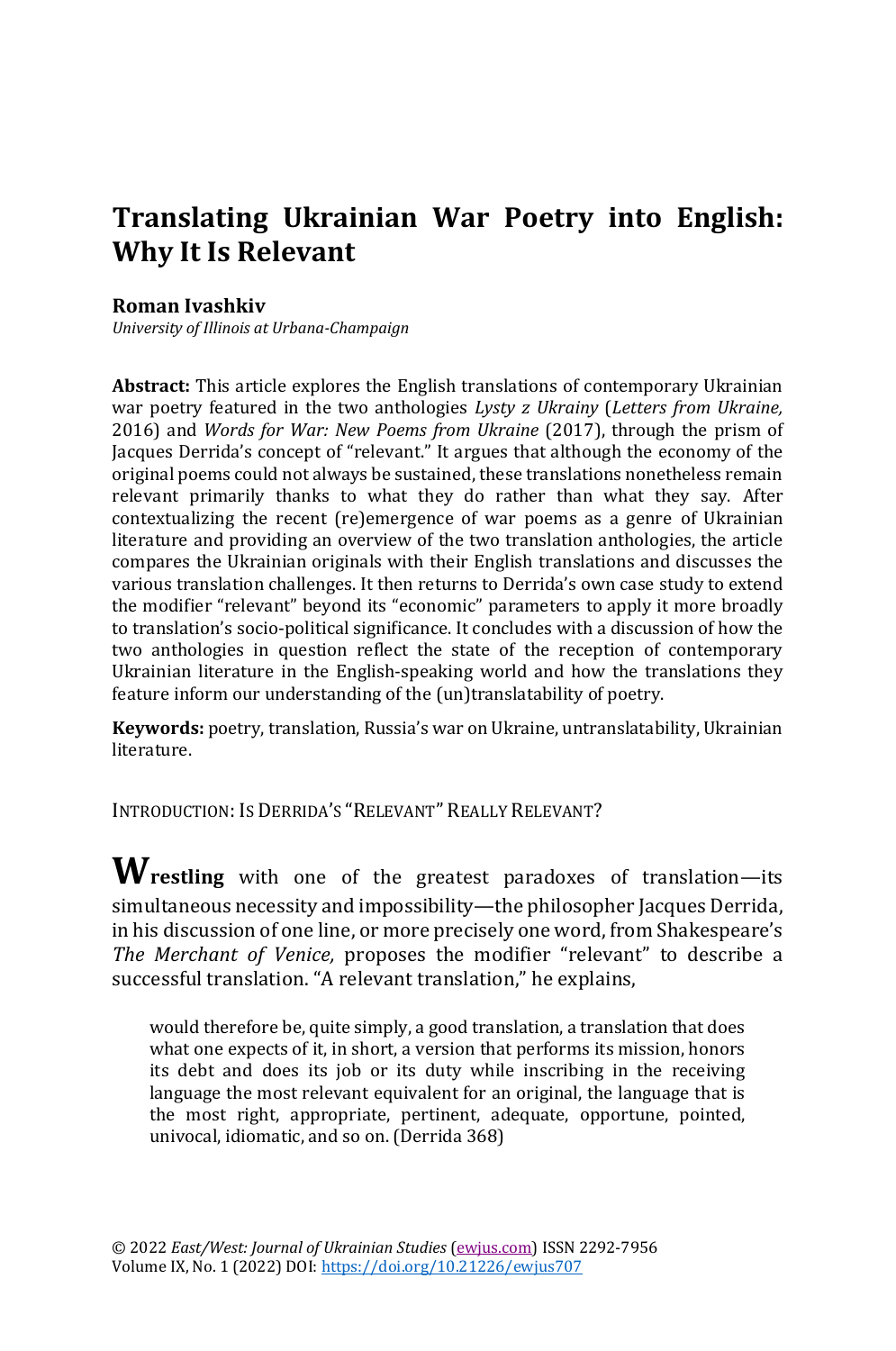# **Translating Ukrainian War Poetry into English: Why It Is Relevant**

#### **Roman Ivashkiv**

*University of Illinois at Urbana-Champaign*

**Abstract:** This article explores the English translations of contemporary Ukrainian war poetry featured in the two anthologies *Lysty z Ukrainy* (*Letters from Ukraine,*  2016) and *Words for War: New Poems from Ukraine* (2017), through the prism of Jacques Derrida's concept of "relevant." It argues that although the economy of the original poems could not always be sustained, these translations nonetheless remain relevant primarily thanks to what they do rather than what they say. After contextualizing the recent (re)emergence of war poems as a genre of Ukrainian literature and providing an overview of the two translation anthologies, the article compares the Ukrainian originals with their English translations and discusses the various translation challenges. It then returns to Derrida's own case study to extend the modifier "relevant" beyond its "economic" parameters to apply it more broadly to translation's socio-political significance. It concludes with a discussion of how the two anthologies in question reflect the state of the reception of contemporary Ukrainian literature in the English-speaking world and how the translations they feature inform our understanding of the (un)translatability of poetry.

**Keywords:** poetry, translation, Russia's war on Ukraine, untranslatability, Ukrainian literature.

INTRODUCTION: IS DERRIDA'S "RELEVANT" REALLY RELEVANT?

**Wrestling** with one of the greatest paradoxes of translation—its simultaneous necessity and impossibility—the philosopher Jacques Derrida, in his discussion of one line, or more precisely one word, from Shakespeare's *The Merchant of Venice,* proposes the modifier "relevant" to describe a successful translation. "A relevant translation," he explains,

would therefore be, quite simply, a good translation, a translation that does what one expects of it, in short, a version that performs its mission, honors its debt and does its job or its duty while inscribing in the receiving language the most relevant equivalent for an original, the language that is the most right, appropriate, pertinent, adequate, opportune, pointed, univocal, idiomatic, and so on. (Derrida 368)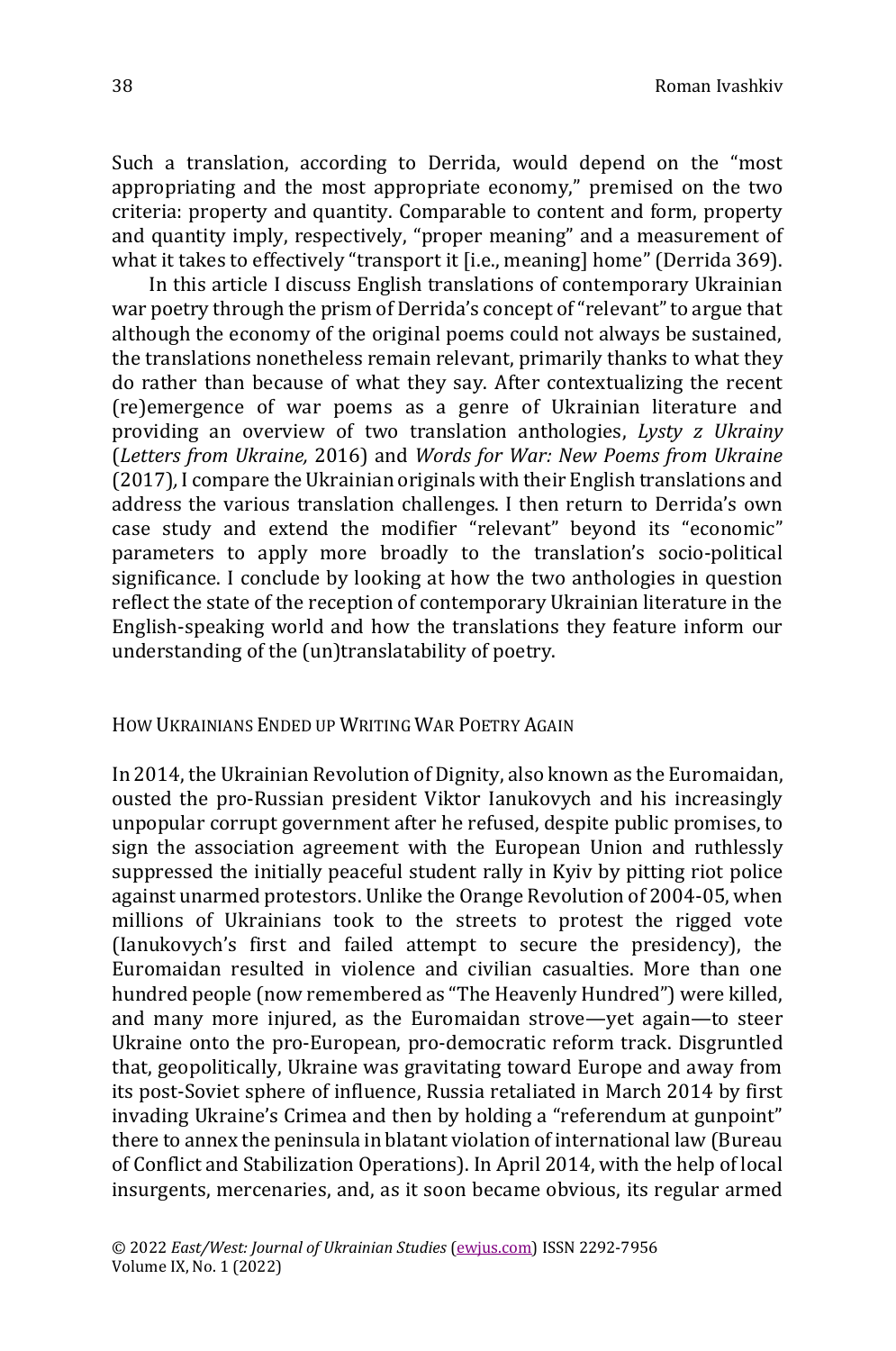Such a translation, according to Derrida, would depend on the "most appropriating and the most appropriate economy," premised on the two criteria: property and quantity. Comparable to content and form, property and quantity imply, respectively, "proper meaning" and a measurement of what it takes to effectively "transport it [i.e., meaning] home" (Derrida 369).

In this article I discuss English translations of contemporary Ukrainian war poetry through the prism of Derrida's concept of "relevant" to argue that although the economy of the original poems could not always be sustained, the translations nonetheless remain relevant, primarily thanks to what they do rather than because of what they say. After contextualizing the recent (re)emergence of war poems as a genre of Ukrainian literature and providing an overview of two translation anthologies, *Lysty z Ukrainy* (*Letters from Ukraine,* 2016) and *Words for War: New Poems from Ukraine*  (2017)*,* I compare the Ukrainian originals with their English translations and address the various translation challenges. I then return to Derrida's own case study and extend the modifier "relevant" beyond its "economic" parameters to apply more broadly to the translation's socio-political significance. I conclude by looking at how the two anthologies in question reflect the state of the reception of contemporary Ukrainian literature in the English-speaking world and how the translations they feature inform our understanding of the (un)translatability of poetry.

HOW UKRAINIANS ENDED UP WRITING WAR POETRY AGAIN

In 2014, the Ukrainian Revolution of Dignity, also known as the Euromaidan, ousted the pro-Russian president Viktor Ianukovych and his increasingly unpopular corrupt government after he refused, despite public promises, to sign the association agreement with the European Union and ruthlessly suppressed the initially peaceful student rally in Kyiv by pitting riot police against unarmed protestors. Unlike the Orange Revolution of 2004-05, when millions of Ukrainians took to the streets to protest the rigged vote (Ianukovych's first and failed attempt to secure the presidency), the Euromaidan resulted in violence and civilian casualties. More than one hundred people (now remembered as "The Heavenly Hundred") were killed, and many more injured, as the Euromaidan strove—yet again—to steer Ukraine onto the pro-European, pro-democratic reform track. Disgruntled that, geopolitically, Ukraine was gravitating toward Europe and away from its post-Soviet sphere of influence, Russia retaliated in March 2014 by first invading Ukraine's Crimea and then by holding a "referendum at gunpoint" there to annex the peninsula in blatant violation of international law (Bureau of Conflict and Stabilization Operations). In April 2014, with the help of local insurgents, mercenaries, and, as it soon became obvious, its regular armed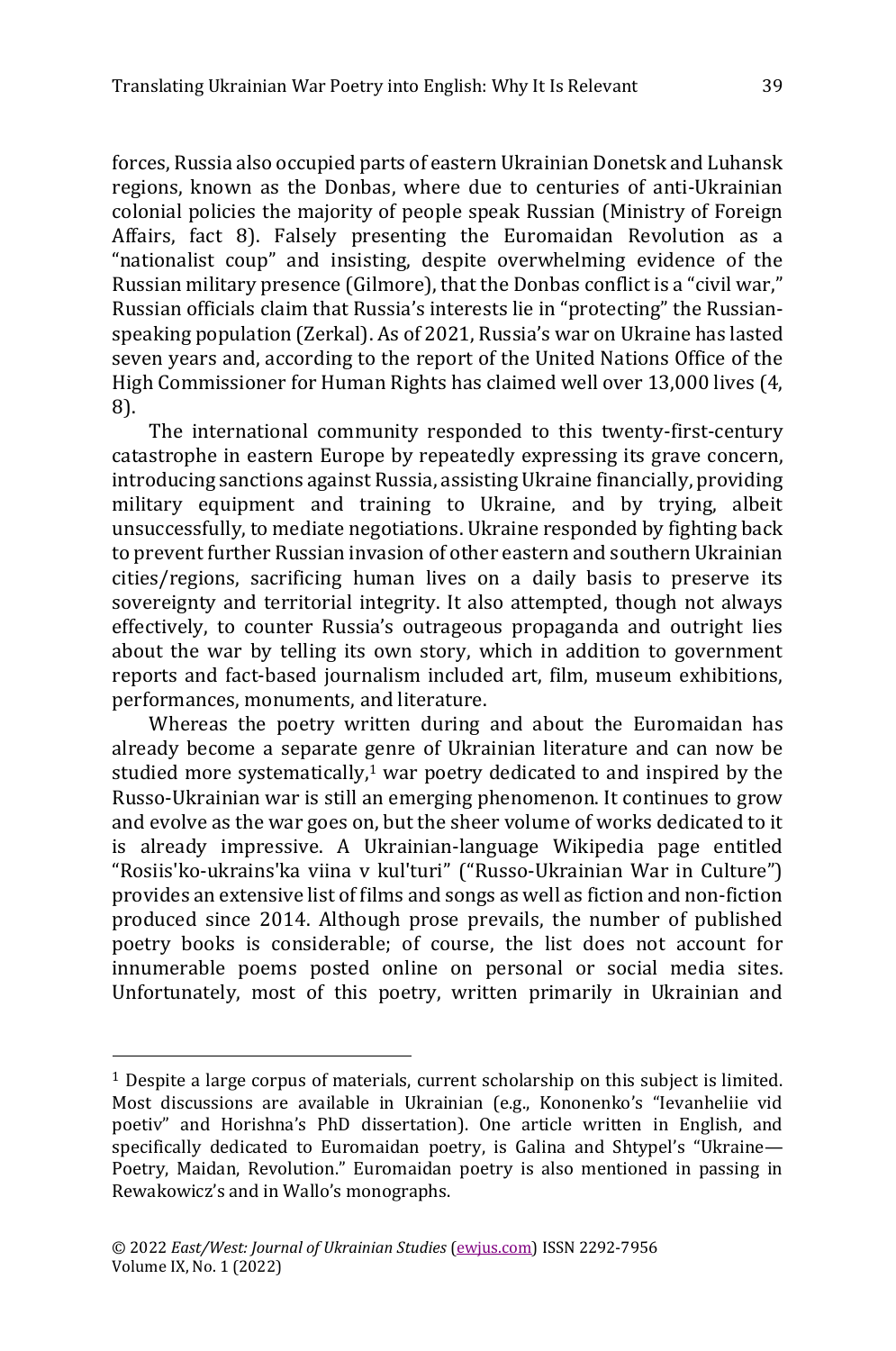forces, Russia also occupied parts of eastern Ukrainian Donetsk and Luhansk regions, known as the Donbas, where due to centuries of anti-Ukrainian colonial policies the majority of people speak Russian (Ministry of Foreign Affairs, fact 8). Falsely presenting the Euromaidan Revolution as a "nationalist coup" and insisting, despite overwhelming evidence of the Russian military presence (Gilmore), that the Donbas conflict is a "civil war," Russian officials claim that Russia's interests lie in "protecting" the Russianspeaking population (Zerkal). As of 2021, Russia's war on Ukraine has lasted seven years and, according to the report of the United Nations Office of the High Commissioner for Human Rights has claimed well over 13,000 lives (4, 8).

The international community responded to this twenty-first-century catastrophe in eastern Europe by repeatedly expressing its grave concern, introducing sanctions against Russia, assisting Ukraine financially, providing military equipment and training to Ukraine, and by trying, albeit unsuccessfully, to mediate negotiations. Ukraine responded by fighting back to prevent further Russian invasion of other eastern and southern Ukrainian cities/regions, sacrificing human lives on a daily basis to preserve its sovereignty and territorial integrity. It also attempted, though not always effectively, to counter Russia's outrageous propaganda and outright lies about the war by telling its own story, which in addition to government reports and fact-based journalism included art, film, museum exhibitions, performances, monuments, and literature.

Whereas the poetry written during and about the Euromaidan has already become a separate genre of Ukrainian literature and can now be studied more systematically, <sup>1</sup> war poetry dedicated to and inspired by the Russo-Ukrainian war is still an emerging phenomenon. It continues to grow and evolve as the war goes on, but the sheer volume of works dedicated to it is already impressive. A Ukrainian-language Wikipedia page entitled "Rosiis'ko-ukrains'ka viina v kul'turi" ("Russo-Ukrainian War in Culture") provides an extensive list of films and songs as well as fiction and non-fiction produced since 2014. Although prose prevails, the number of published poetry books is considerable; of course, the list does not account for innumerable poems posted online on personal or social media sites. Unfortunately, most of this poetry, written primarily in Ukrainian and

<sup>1</sup> Despite a large corpus of materials, current scholarship on this subject is limited. Most discussions are available in Ukrainian (e.g., Kononenko's "Ievanheliie vid poetiv" and Horishna's PhD dissertation). One article written in English, and specifically dedicated to Euromaidan poetry, is Galina and Shtypel's "Ukraine— Poetry, Maidan, Revolution." Euromaidan poetry is also mentioned in passing in Rewakowicz's and in Wallo's monographs.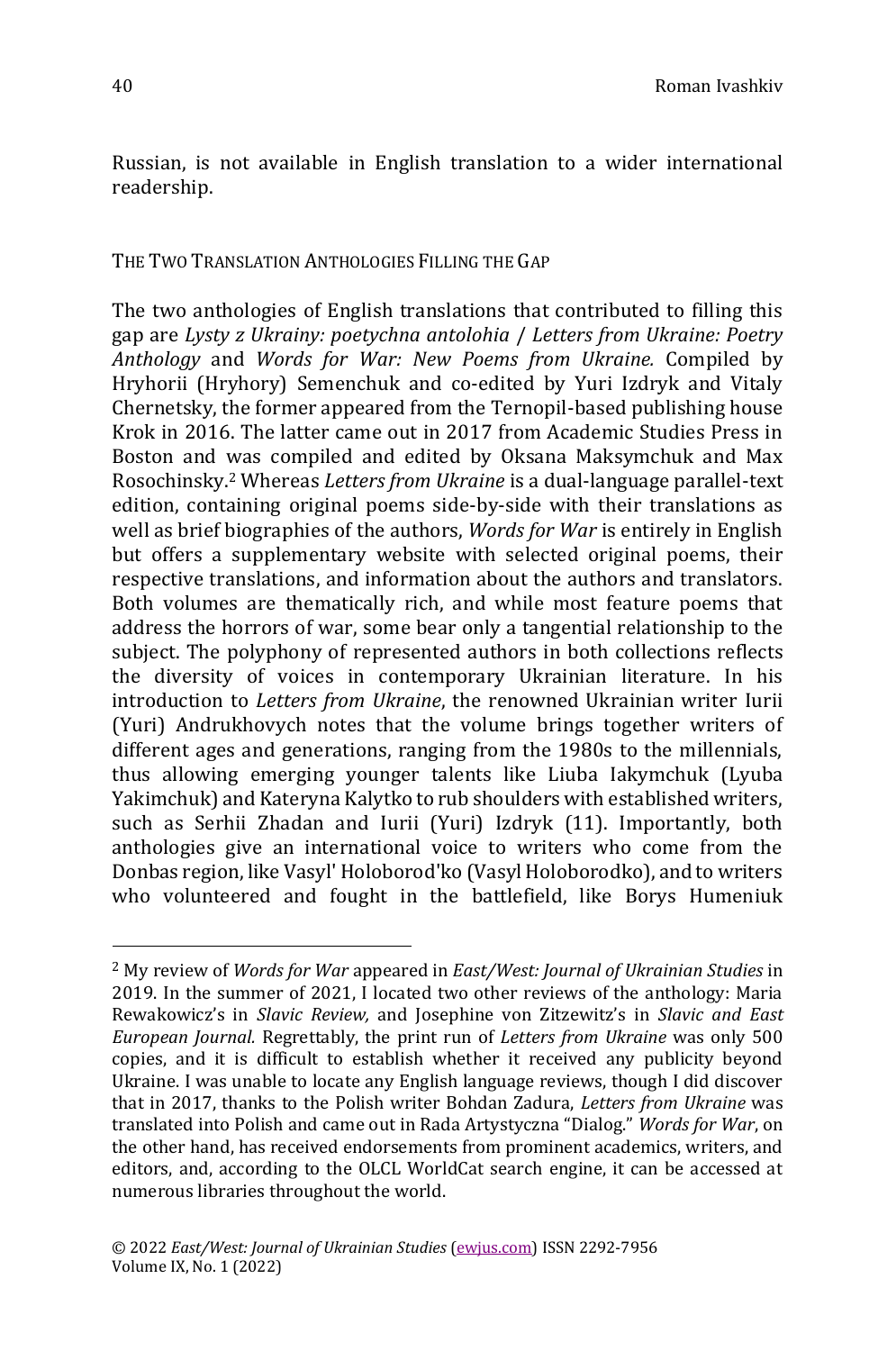Russian, is not available in English translation to a wider international readership.

## THE TWO TRANSLATION ANTHOLOGIES FILLING THE GAP

The two anthologies of English translations that contributed to filling this gap are *Lysty z Ukrainy: poetychna antolohia* / *Letters from Ukraine: Poetry Anthology* and *Words for War: New Poems from Ukraine.* Compiled by Hryhorii (Hryhory) Semenchuk and co-edited by Yuri Izdryk and Vitaly Chernetsky, the former appeared from the Ternopil-based publishing house Krok in 2016. The latter came out in 2017 from Academic Studies Press in Boston and was compiled and edited by Oksana Maksymchuk and Max Rosochinsky. <sup>2</sup> Whereas *Letters from Ukraine* is a dual-language parallel-text edition, containing original poems side-by-side with their translations as well as brief biographies of the authors, *Words for War* is entirely in English but offers a supplementary website with selected original poems, their respective translations, and information about the authors and translators. Both volumes are thematically rich, and while most feature poems that address the horrors of war, some bear only a tangential relationship to the subject. The polyphony of represented authors in both collections reflects the diversity of voices in contemporary Ukrainian literature. In his introduction to *Letters from Ukraine*, the renowned Ukrainian writer Iurii (Yuri) Andrukhovych notes that the volume brings together writers of different ages and generations, ranging from the 1980s to the millennials, thus allowing emerging younger talents like Liuba Iakymchuk (Lyuba Yakimchuk) and Kateryna Kalytko to rub shoulders with established writers, such as Serhii Zhadan and Iurii (Yuri) Izdryk (11). Importantly, both anthologies give an international voice to writers who come from the Donbas region, like Vasyl' Holoborod'ko (Vasyl Holoborodko), and to writers who volunteered and fought in the battlefield, like Borys Humeniuk

<sup>2</sup> My review of *Words for War* appeared in *East/West: Journal of Ukrainian Studies* in 2019. In the summer of 2021, I located two other reviews of the anthology: Maria Rewakowicz's in *Slavic Review,* and Josephine von Zitzewitz's in *Slavic and East European Journal.* Regrettably, the print run of *Letters from Ukraine* was only 500 copies, and it is difficult to establish whether it received any publicity beyond Ukraine. I was unable to locate any English language reviews, though I did discover that in 2017, thanks to the Polish writer Bohdan Zadura, *Letters from Ukraine* was translated into Polish and came out in Rada Artystyczna "Dialog." *Words for War*, on the other hand, has received endorsements from prominent academics, writers, and editors, and, according to the OLCL WorldCat search engine, it can be accessed at numerous libraries throughout the world.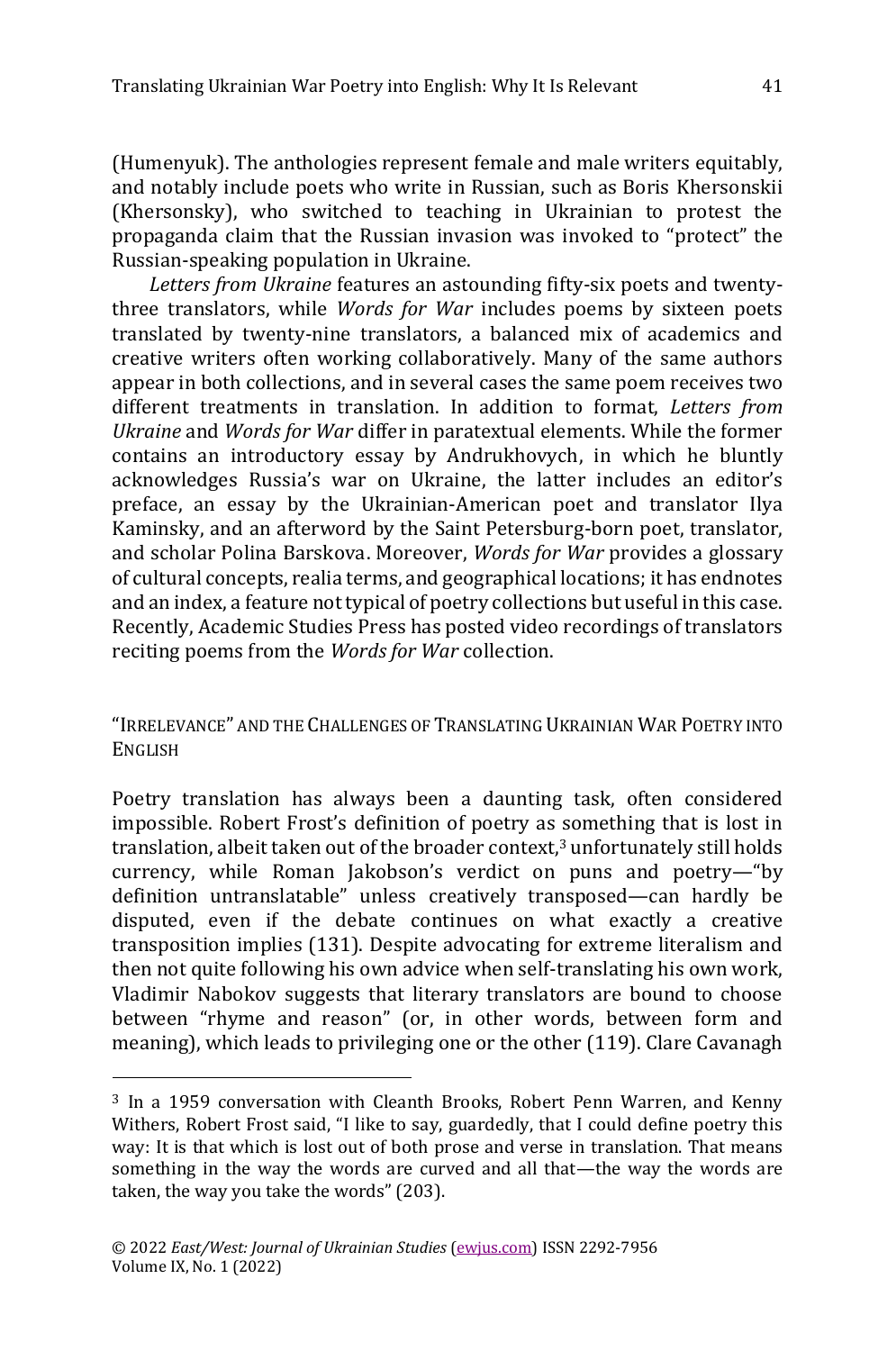(Humenyuk). The anthologies represent female and male writers equitably, and notably include poets who write in Russian, such as Boris Khersonskii (Khersonsky), who switched to teaching in Ukrainian to protest the propaganda claim that the Russian invasion was invoked to "protect" the Russian-speaking population in Ukraine.

*Letters from Ukraine* features an astounding fifty-six poets and twentythree translators, while *Words for War* includes poems by sixteen poets translated by twenty-nine translators, a balanced mix of academics and creative writers often working collaboratively. Many of the same authors appear in both collections, and in several cases the same poem receives two different treatments in translation. In addition to format, *Letters from Ukraine* and *Words for War* differ in paratextual elements. While the former contains an introductory essay by Andrukhovych, in which he bluntly acknowledges Russia's war on Ukraine, the latter includes an editor's preface, an essay by the Ukrainian-American poet and translator Ilya Kaminsky, and an afterword by the Saint Petersburg-born poet, translator, and scholar Polina Barskova. Moreover, *Words for War* provides a glossary of cultural concepts, realia terms, and geographical locations; it has endnotes and an index, a feature not typical of poetry collections but useful in this case. Recently, Academic Studies Press has posted video recordings of translators reciting poems from the *Words for War* collection.

# "IRRELEVANCE" AND THE CHALLENGES OF TRANSLATING UKRAINIAN WAR POETRY INTO ENGLISH

Poetry translation has always been a daunting task, often considered impossible. Robert Frost's definition of poetry as something that is lost in translation, albeit taken out of the broader context,<sup>3</sup> unfortunately still holds currency, while Roman Jakobson's verdict on puns and poetry—"by definition untranslatable" unless creatively transposed—can hardly be disputed, even if the debate continues on what exactly a creative transposition implies (131). Despite advocating for extreme literalism and then not quite following his own advice when self-translating his own work, Vladimir Nabokov suggests that literary translators are bound to choose between "rhyme and reason" (or, in other words, between form and meaning), which leads to privileging one or the other (119). Clare Cavanagh

<sup>&</sup>lt;sup>3</sup> In a 1959 conversation with Cleanth Brooks, Robert Penn Warren, and Kenny Withers, Robert Frost said, "I like to say, guardedly, that I could define poetry this way: It is that which is lost out of both prose and verse in translation. That means something in the way the words are curved and all that—the way the words are taken, the way you take the words" (203).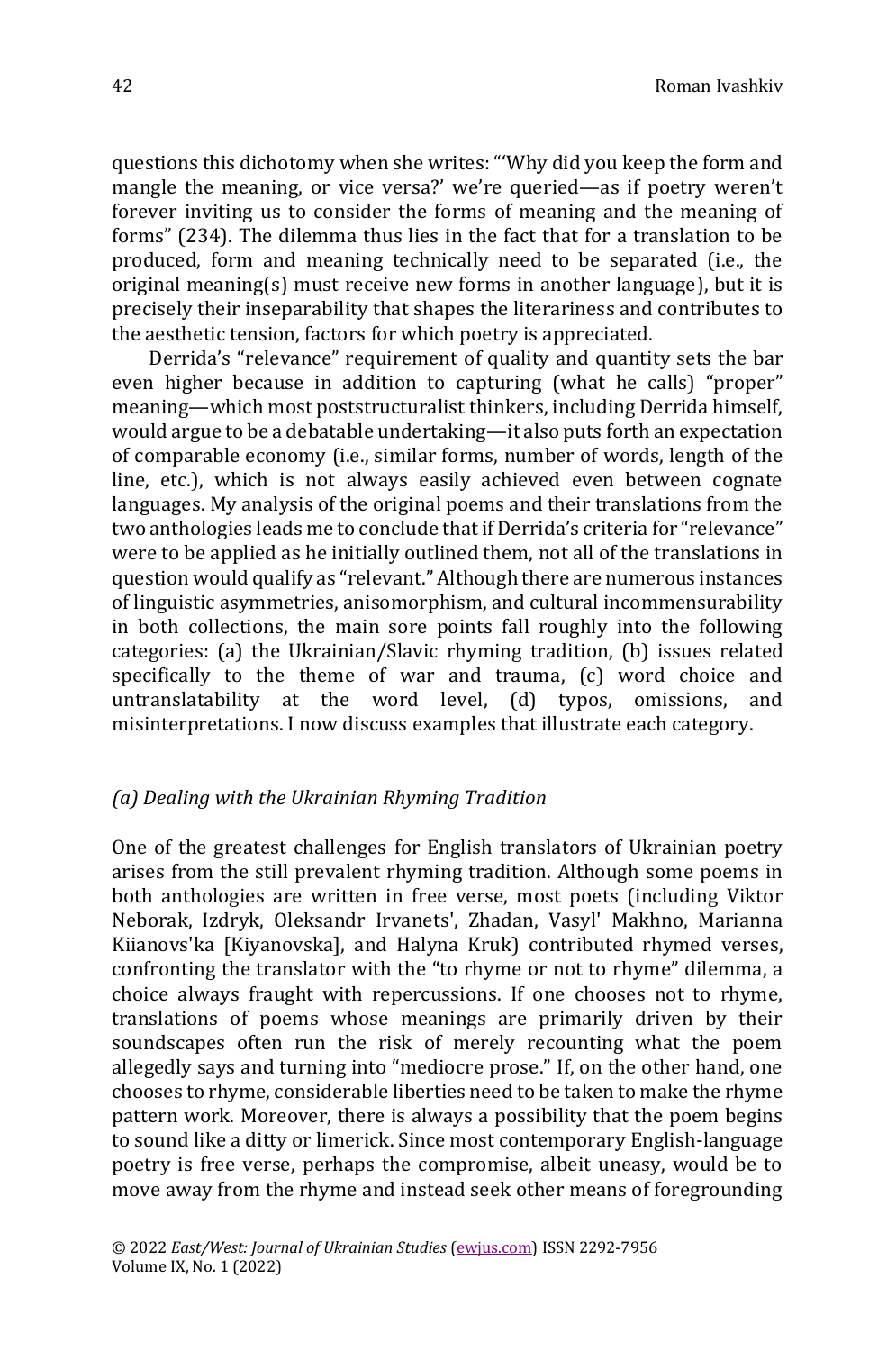questions this dichotomy when she writes: "'Why did you keep the form and mangle the meaning, or vice versa?' we're queried—as if poetry weren't forever inviting us to consider the forms of meaning and the meaning of forms" (234). The dilemma thus lies in the fact that for a translation to be produced, form and meaning technically need to be separated (i.e., the original meaning(s) must receive new forms in another language), but it is precisely their inseparability that shapes the literariness and contributes to the aesthetic tension, factors for which poetry is appreciated.

Derrida's "relevance" requirement of quality and quantity sets the bar even higher because in addition to capturing (what he calls) "proper" meaning—which most poststructuralist thinkers, including Derrida himself, would argue to be a debatable undertaking—it also puts forth an expectation of comparable economy (i.e., similar forms, number of words, length of the line, etc.), which is not always easily achieved even between cognate languages. My analysis of the original poems and their translations from the two anthologies leads me to conclude that if Derrida's criteria for "relevance" were to be applied as he initially outlined them, not all of the translations in question would qualify as "relevant." Although there are numerous instances of linguistic asymmetries, anisomorphism, and cultural incommensurability in both collections, the main sore points fall roughly into the following categories: (a) the Ukrainian/Slavic rhyming tradition, (b) issues related specifically to the theme of war and trauma, (c) word choice and untranslatability at the word level, (d) typos, omissions, and misinterpretations. I now discuss examples that illustrate each category.

#### *(a) Dealing with the Ukrainian Rhyming Tradition*

One of the greatest challenges for English translators of Ukrainian poetry arises from the still prevalent rhyming tradition. Although some poems in both anthologies are written in free verse, most poets (including Viktor Neborak, Izdryk, Oleksandr Irvanets', Zhadan, Vasyl' Makhno, Marianna Kiianovs'ka [Kiyanovska], and Halyna Kruk) contributed rhymed verses, confronting the translator with the "to rhyme or not to rhyme" dilemma, a choice always fraught with repercussions. If one chooses not to rhyme, translations of poems whose meanings are primarily driven by their soundscapes often run the risk of merely recounting what the poem allegedly says and turning into "mediocre prose." If, on the other hand, one chooses to rhyme, considerable liberties need to be taken to make the rhyme pattern work. Moreover, there is always a possibility that the poem begins to sound like a ditty or limerick. Since most contemporary English-language poetry is free verse, perhaps the compromise, albeit uneasy, would be to move away from the rhyme and instead seek other means of foregrounding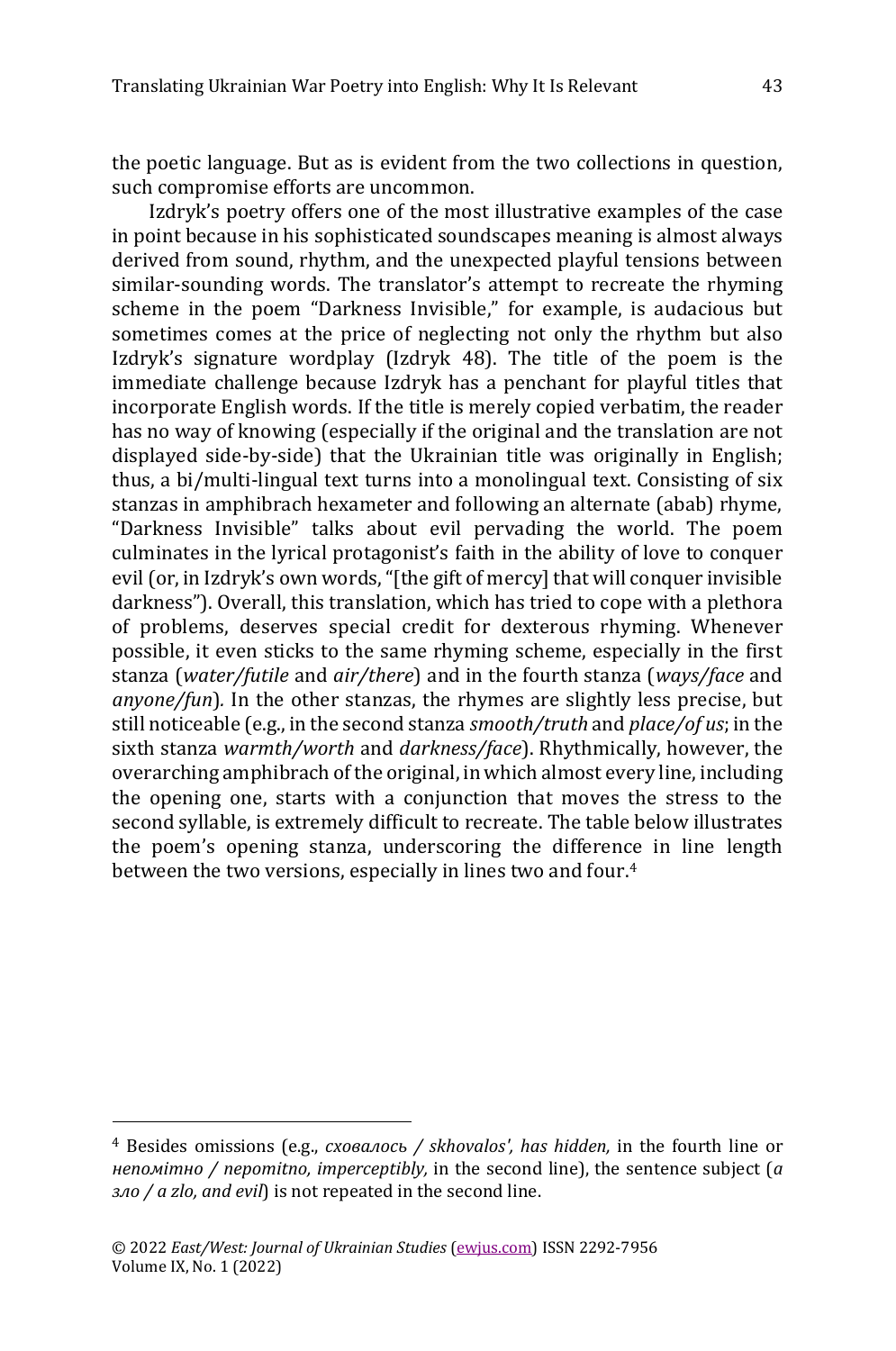the poetic language. But as is evident from the two collections in question, such compromise efforts are uncommon.

Izdryk's poetry offers one of the most illustrative examples of the case in point because in his sophisticated soundscapes meaning is almost always derived from sound, rhythm, and the unexpected playful tensions between similar-sounding words. The translator's attempt to recreate the rhyming scheme in the poem "Darkness Invisible," for example, is audacious but sometimes comes at the price of neglecting not only the rhythm but also Izdryk's signature wordplay (Izdryk 48). The title of the poem is the immediate challenge because Izdryk has a penchant for playful titles that incorporate English words. If the title is merely copied verbatim, the reader has no way of knowing (especially if the original and the translation are not displayed side-by-side) that the Ukrainian title was originally in English; thus, a bi/multi-lingual text turns into a monolingual text. Consisting of six stanzas in amphibrach hexameter and following an alternate (abab) rhyme, "Darkness Invisible" talks about evil pervading the world. The poem culminates in the lyrical protagonist's faith in the ability of love to conquer evil (or, in Izdryk's own words, "[the gift of mercy] that will conquer invisible darkness"). Overall, this translation, which has tried to cope with a plethora of problems, deserves special credit for dexterous rhyming. Whenever possible, it even sticks to the same rhyming scheme, especially in the first stanza (*water/futile* and *air/there*) and in the fourth stanza (*ways/face* and *anyone/fun*)*.* In the other stanzas, the rhymes are slightly less precise, but still noticeable (e.g., in the second stanza *smooth/truth* and *place/of us*; in the sixth stanza *warmth/worth* and *darkness/face*). Rhythmically, however, the overarching amphibrach of the original, in which almost every line, including the opening one, starts with a conjunction that moves the stress to the second syllable, is extremely difficult to recreate. The table below illustrates the poem's opening stanza, underscoring the difference in line length between the two versions, especially in lines two and four. 4

<sup>4</sup> Besides omissions (e.g., *сховалось / skhovalos', has hidden,* in the fourth line or *непомітно / nepomitno, imperceptibly,* in the second line), the sentence subject (*а зло / a zlo, and evil*) is not repeated in the second line.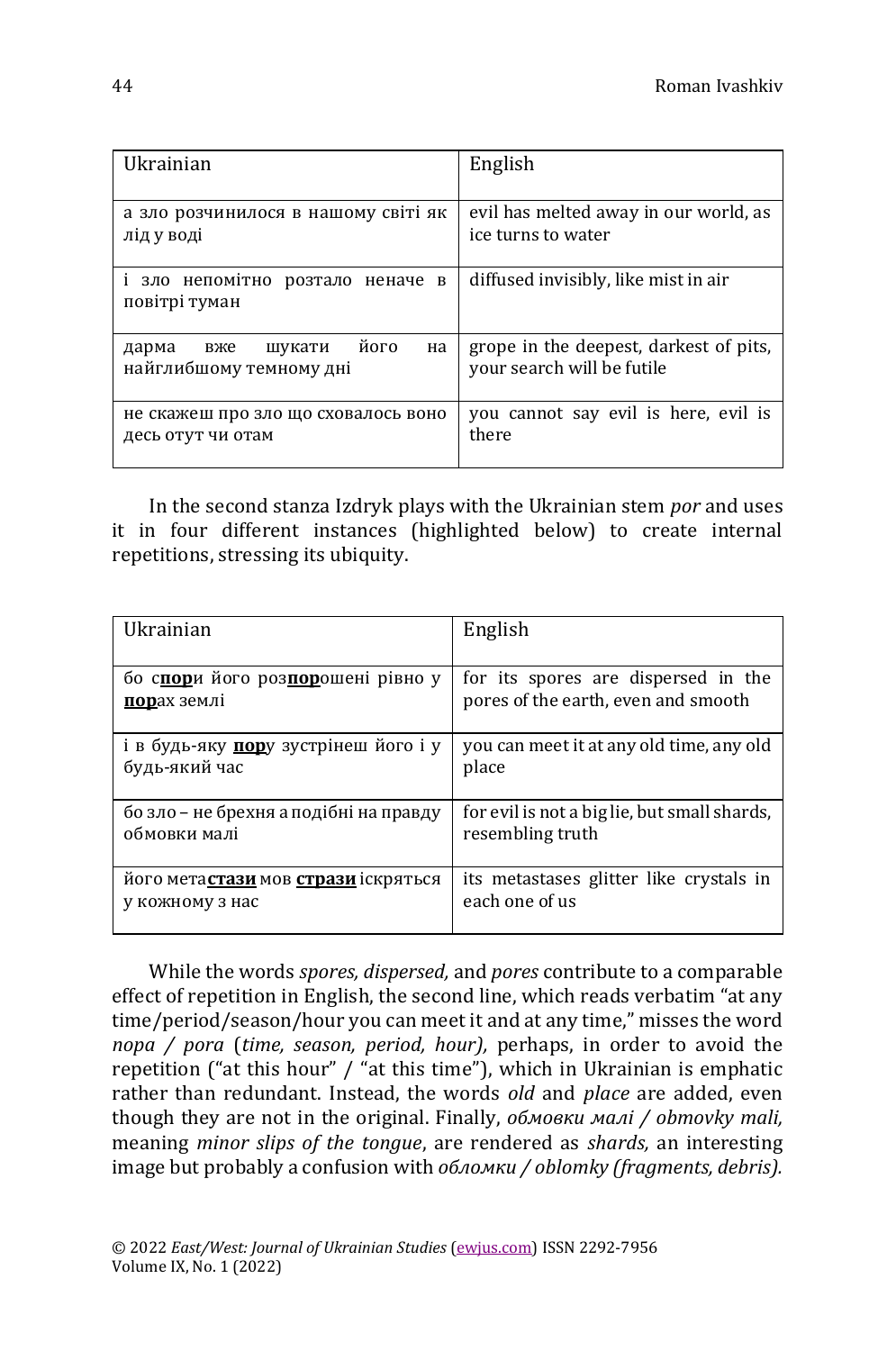| Ukrainian                                                       | English                                                              |
|-----------------------------------------------------------------|----------------------------------------------------------------------|
| а зло розчинилося в нашому світі як<br>лід у воді               | evil has melted away in our world, as<br>ice turns to water          |
| і зло непомітно<br>розтало<br>неначе<br>B<br>повітрі туман      | diffused invisibly, like mist in air                                 |
| його<br>на<br>шукати<br>дарма<br>вже<br>найглибшому темному дні | grope in the deepest, darkest of pits,<br>your search will be futile |
| не скажеш про зло що сховалось воно<br>десь отут чи отам        | you cannot say evil is here, evil is<br>there                        |

In the second stanza Izdryk plays with the Ukrainian stem *por* and uses it in four different instances (highlighted below) to create internal repetitions, stressing its ubiquity.

| Ukrainian                                          | English                                      |
|----------------------------------------------------|----------------------------------------------|
|                                                    |                                              |
| бо спори його розпорошені рівно у                  | for its spores are dispersed in the          |
| порах землі                                        | pores of the earth, even and smooth          |
| і в будь-яку пору зустрінеш його і у               | you can meet it at any old time, any old     |
| будь-який час                                      | place                                        |
| бо зло – не брехня а подібні на правду             | for evil is not a big lie, but small shards, |
| обмовки малі                                       | resembling truth                             |
| його мета <b>стази</b> мов <b>стрази</b> іскряться | its metastases glitter like crystals in      |
| у кожному з нас                                    | each one of us                               |

While the words *spores, dispersed,* and *pores* contribute to a comparable effect of repetition in English, the second line, which reads verbatim "at any time/period/season/hour you can meet it and at any time," misses the word *пора / pora* (*time, season, period, hour),* perhaps, in order to avoid the repetition ("at this hour" / "at this time"), which in Ukrainian is emphatic rather than redundant. Instead, the words *old* and *place* are added, even though they are not in the original. Finally, *обмовки малі / obmovky mali,*  meaning *minor slips of the tongue*, are rendered as *shards,* an interesting image but probably a confusion with *обломки / oblomky (fragments, debris).*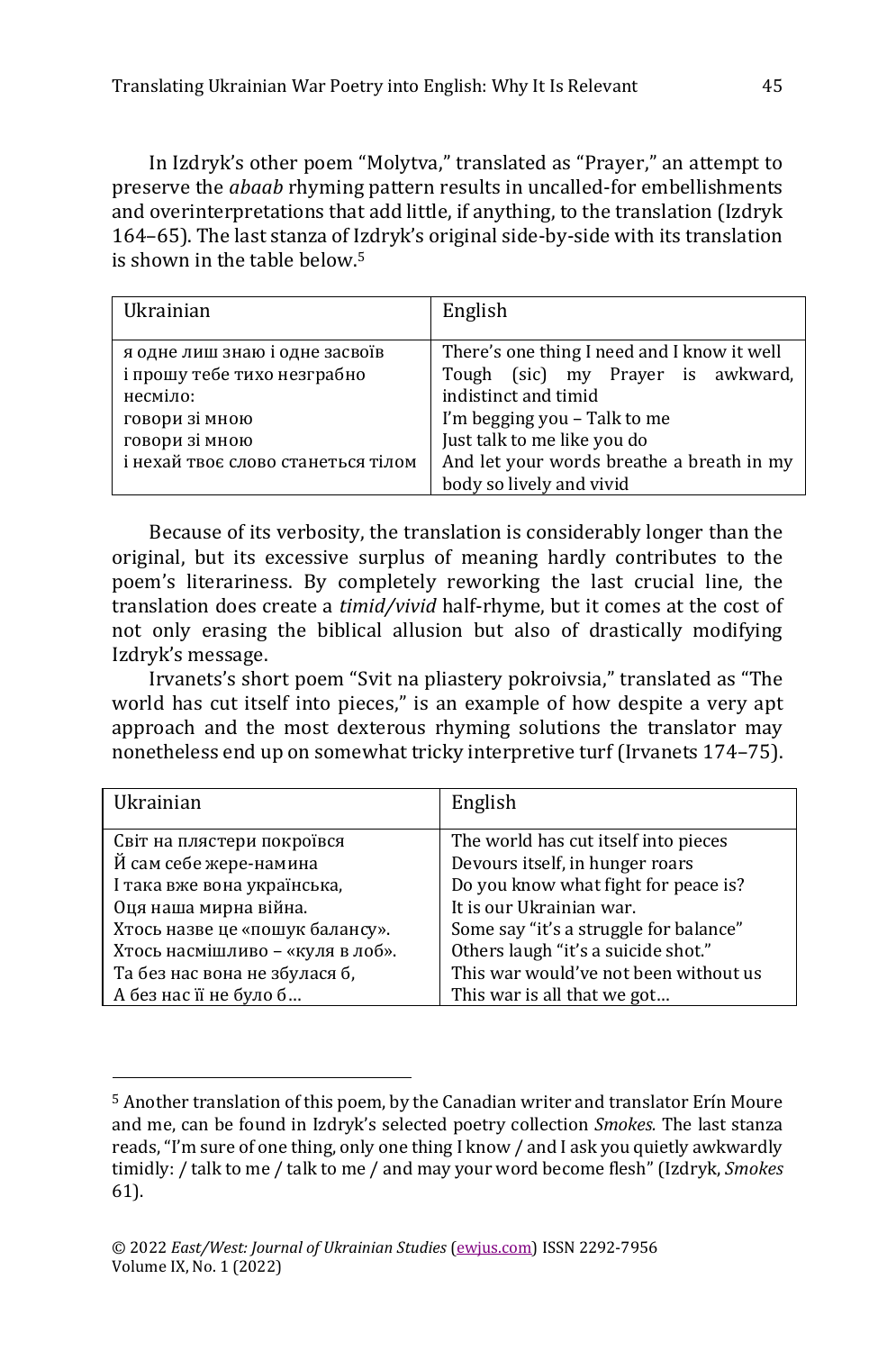In Izdryk's other poem "Molytva," translated as "Prayer," an attempt to preserve the *abaab* rhyming pattern results in uncalled-for embellishments and overinterpretations that add little, if anything, to the translation (Izdryk 164–65). The last stanza of Izdryk's original side-by-side with its translation is shown in the table below.<sup>5</sup>

| Ukrainian                          | English                                     |
|------------------------------------|---------------------------------------------|
|                                    |                                             |
| я одне лиш знаю і одне засвоїв     | There's one thing I need and I know it well |
| і прошу тебе тихо незграбно        | Tough (sic) my Prayer is awkward,           |
| несміло:                           | indistinct and timid                        |
| говори зі мною                     | I'm begging you - Talk to me                |
| говори зі мною                     | Just talk to me like you do                 |
| і нехай твоє слово станеться тілом | And let your words breathe a breath in my   |
|                                    | body so lively and vivid                    |

Because of its verbosity, the translation is considerably longer than the original, but its excessive surplus of meaning hardly contributes to the poem's literariness. By completely reworking the last crucial line, the translation does create a *timid/vivid* half-rhyme, but it comes at the cost of not only erasing the biblical allusion but also of drastically modifying Izdryk's message.

Irvanets's short poem "Svit na pliastery pokroivsia," translated as "The world has cut itself into pieces," is an example of how despite a very apt approach and the most dexterous rhyming solutions the translator may nonetheless end up on somewhat tricky interpretive turf (Irvanets 174–75).

| Ukrainian                        | English                                |
|----------------------------------|----------------------------------------|
| Світ на плястери покроївся       | The world has cut itself into pieces   |
| Й сам себе жере-намина           | Devours itself, in hunger roars        |
| І така вже вона українська,      | Do you know what fight for peace is?   |
| Оця наша мирна війна.            | It is our Ukrainian war.               |
| Хтось назве це «пошук балансу».  | Some say "it's a struggle for balance" |
| Хтось насмішливо - «куля в лоб». | Others laugh "it's a suicide shot."    |
| Та без нас вона не збулася б.    | This war would've not been without us  |
| А без нас її не було б           | This war is all that we got            |

<sup>5</sup> Another translation of this poem, by the Canadian writer and translator Erín Moure and me, can be found in Izdryk's selected poetry collection *Smokes.* The last stanza reads, "I'm sure of one thing, only one thing I know / and I ask you quietly awkwardly timidly: / talk to me / talk to me / and may your word become flesh" (Izdryk, *Smokes* 61).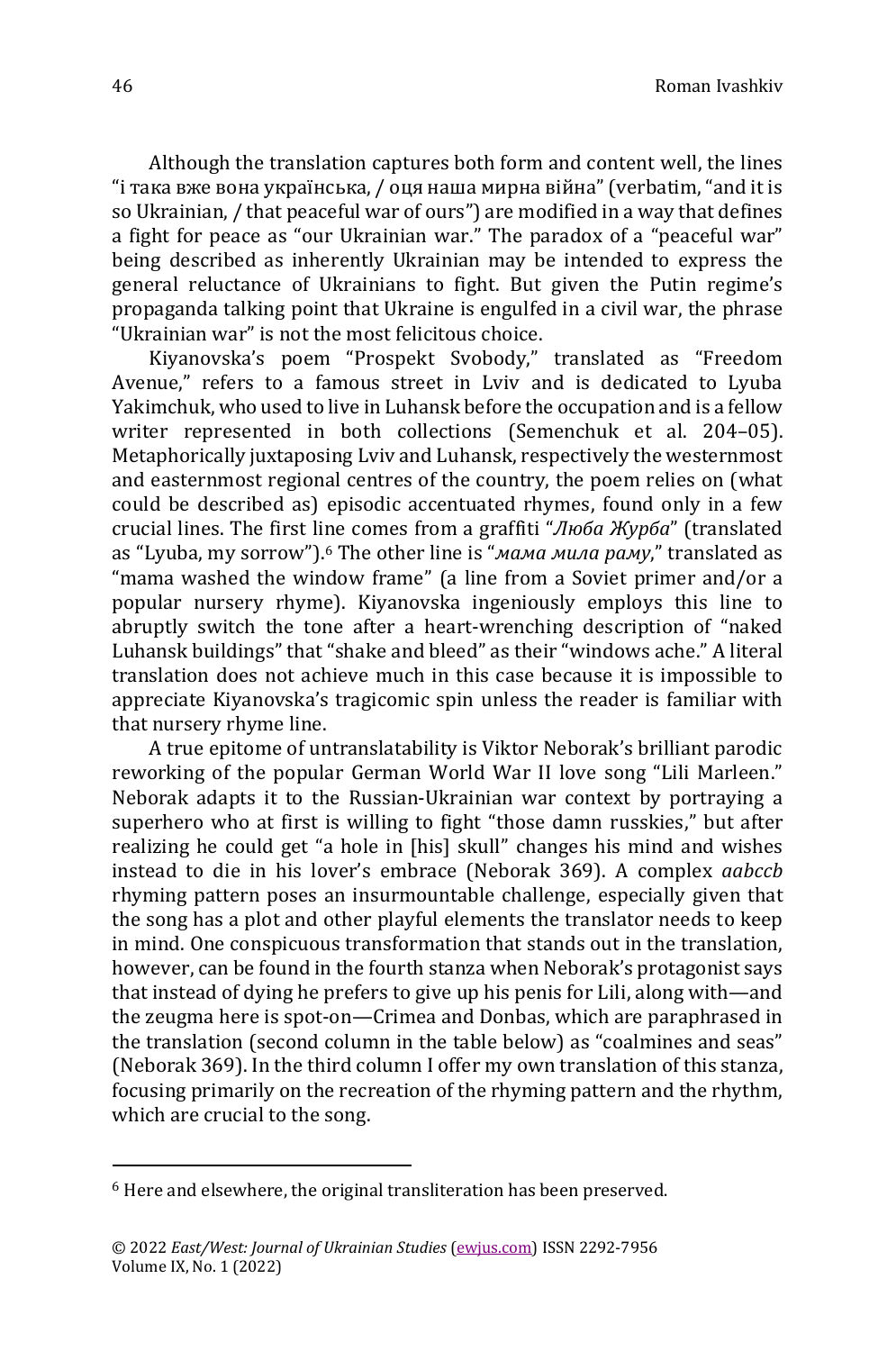Although the translation captures both form and content well, the lines "і така вже вона українська, / оця наша мирна війна" (verbatim, "and it is so Ukrainian, / that peaceful war of ours") are modified in a way that defines a fight for peace as "our Ukrainian war." The paradox of a "peaceful war" being described as inherently Ukrainian may be intended to express the general reluctance of Ukrainians to fight. But given the Putin regime's propaganda talking point that Ukraine is engulfed in a civil war, the phrase "Ukrainian war" is not the most felicitous choice.

Kiyanovska's poem "Prospekt Svobody," translated as "Freedom Avenue," refers to a famous street in Lviv and is dedicated to Lyuba Yakimchuk, who used to live in Luhansk before the occupation and is a fellow writer represented in both collections (Semenchuk et al. 204–05). Metaphorically juxtaposing Lviv and Luhansk, respectively the westernmost and easternmost regional centres of the country, the poem relies on (what could be described as) episodic accentuated rhymes, found only in a few crucial lines. The first line comes from a graffiti "*Люба Журба*" (translated as "Lyuba, my sorrow"). <sup>6</sup> The other line is "*мама мила раму*," translated as "mama washed the window frame" (a line from a Soviet primer and/or a popular nursery rhyme). Kiyanovska ingeniously employs this line to abruptly switch the tone after a heart-wrenching description of "naked Luhansk buildings" that "shake and bleed" as their "windows ache." A literal translation does not achieve much in this case because it is impossible to appreciate Kiyanovska's tragicomic spin unless the reader is familiar with that nursery rhyme line.

A true epitome of untranslatability is Viktor Neborak's brilliant parodic reworking of the popular German World War II love song "Lili Marleen." Neborak adapts it to the Russian-Ukrainian war context by portraying a superhero who at first is willing to fight "those damn russkies," but after realizing he could get "a hole in [his] skull" changes his mind and wishes instead to die in his lover's embrace (Neborak 369). A complex *aabccb* rhyming pattern poses an insurmountable challenge, especially given that the song has a plot and other playful elements the translator needs to keep in mind. One conspicuous transformation that stands out in the translation, however, can be found in the fourth stanza when Neborak's protagonist says that instead of dying he prefers to give up his penis for Lili, along with—and the zeugma here is spot-on—Crimea and Donbas, which are paraphrased in the translation (second column in the table below) as "coalmines and seas" (Neborak 369). In the third column I offer my own translation of this stanza, focusing primarily on the recreation of the rhyming pattern and the rhythm, which are crucial to the song.

<sup>6</sup> Here and elsewhere, the original transliteration has been preserved.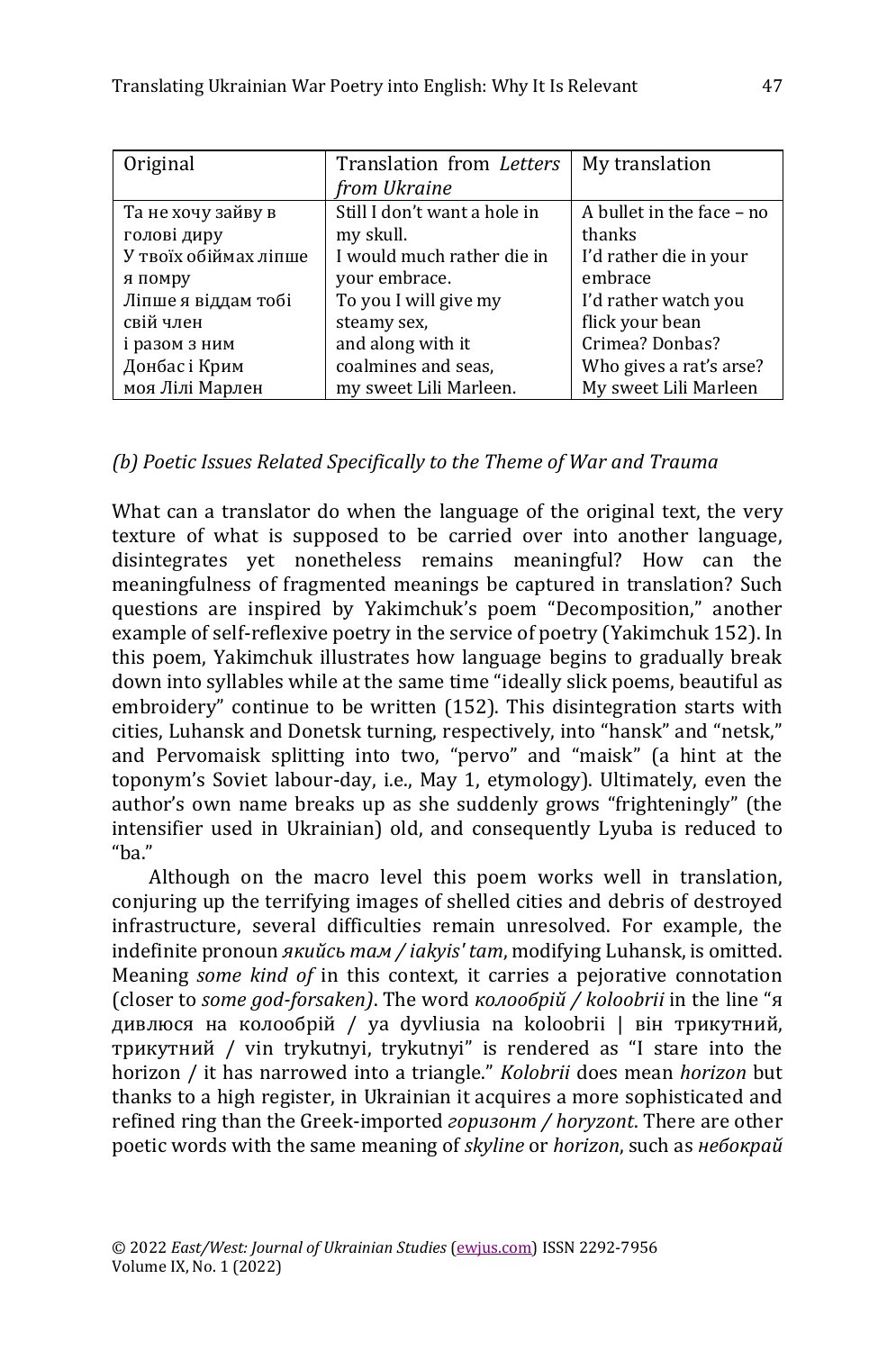| Original              | Translation from Letters     | My translation            |
|-----------------------|------------------------------|---------------------------|
|                       | from Ukraine                 |                           |
| Та не хочу зайву в    | Still I don't want a hole in | A bullet in the face - no |
| голові диру           | my skull.                    | thanks                    |
| У твоїх обіймах ліпше | I would much rather die in   | I'd rather die in your    |
| я помру               | your embrace.                | embrace                   |
| Ліпше я віддам тобі   | To you I will give my        | I'd rather watch you      |
| свій член             | steamy sex,                  | flick your bean           |
| і разом з ним         | and along with it            | Crimea? Donbas?           |
| Донбас і Крим         | coalmines and seas.          | Who gives a rat's arse?   |
| моя Лілі Марлен       | my sweet Lili Marleen.       | My sweet Lili Marleen     |

# *(b) Poetic Issues Related Specifically to the Theme of War and Trauma*

What can a translator do when the language of the original text, the very texture of what is supposed to be carried over into another language, disintegrates yet nonetheless remains meaningful? How can the meaningfulness of fragmented meanings be captured in translation? Such questions are inspired by Yakimchuk's poem "Decomposition," another example of self-reflexive poetry in the service of poetry (Yakimchuk 152). In this poem, Yakimchuk illustrates how language begins to gradually break down into syllables while at the same time "ideally slick poems, beautiful as embroidery" continue to be written (152). This disintegration starts with cities, Luhansk and Donetsk turning, respectively, into "hansk" and "netsk," and Pervomaisk splitting into two, "pervo" and "maisk" (a hint at the toponym's Soviet labour-day, i.e., May 1, etymology). Ultimately, even the author's own name breaks up as she suddenly grows "frighteningly" (the intensifier used in Ukrainian) old, and consequently Lyuba is reduced to " $^{\prime\prime}$ 

Although on the macro level this poem works well in translation, conjuring up the terrifying images of shelled cities and debris of destroyed infrastructure, several difficulties remain unresolved. For example, the indefinite pronoun *якийсь там / iakyis' tam*, modifying Luhansk, is omitted. Meaning *some kind of* in this context, it carries a pejorative connotation (closer to *some god-forsaken)*. The word *колообрій / koloobrii* in the line "я дивлюся на колообрій / ya dyvliusia na koloobrii | він трикутний, трикутний / vin trykutnyi, trykutnyi" is rendered as "I stare into the horizon / it has narrowed into a triangle." *Kolobrii* does mean *horizon* but thanks to a high register, in Ukrainian it acquires a more sophisticated and refined ring than the Greek-imported *горизонт / horyzont*. There are other poetic words with the same meaning of *skyline* or *horizon*, such as *небокрай*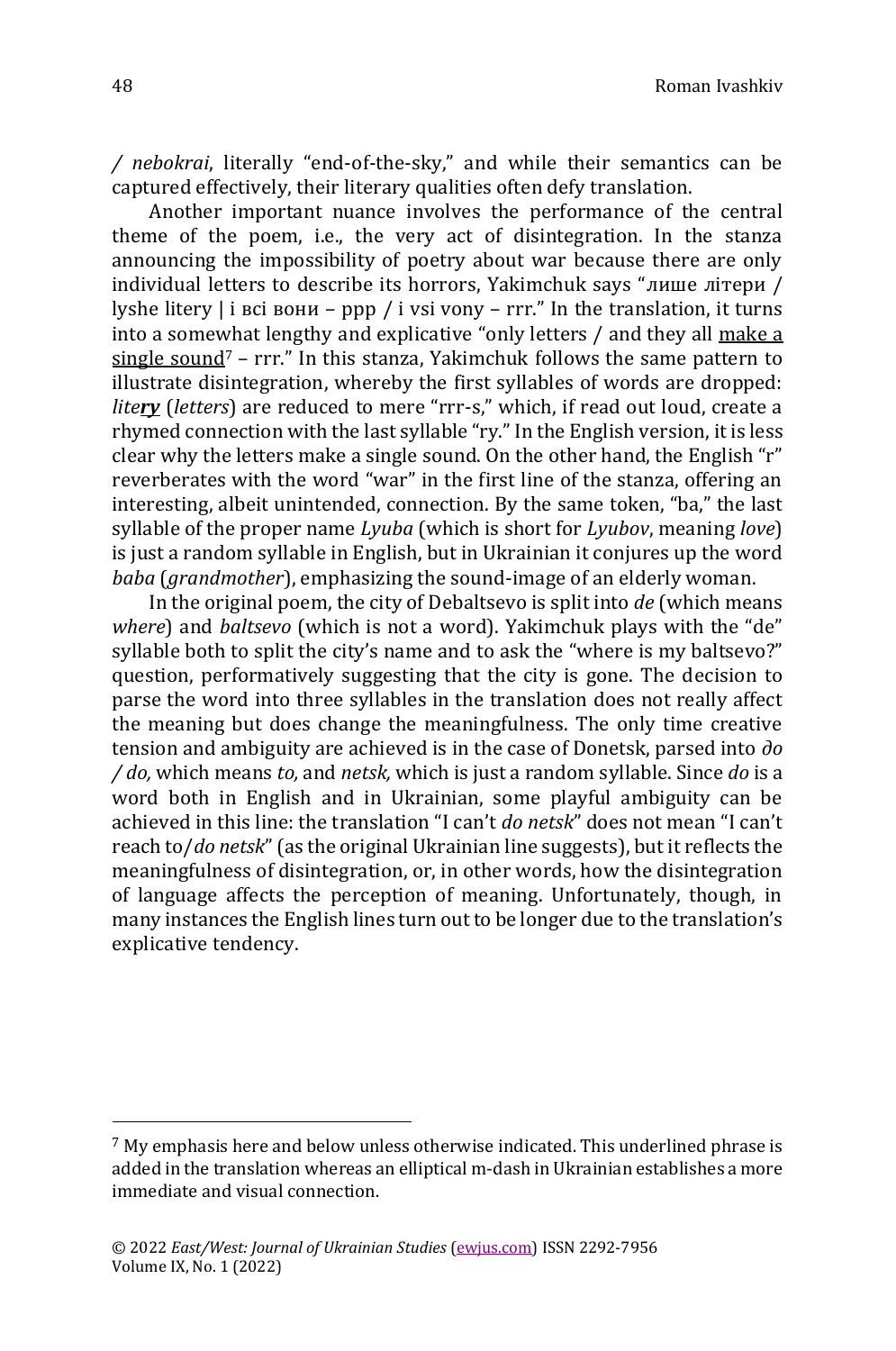*/ nebokrai*, literally "end-of-the-sky," and while their semantics can be captured effectively, their literary qualities often defy translation.

Another important nuance involves the performance of the central theme of the poem, i.e., the very act of disintegration. In the stanza announcing the impossibility of poetry about war because there are only individual letters to describe its horrors, Yakimchuk says "лише літери / lyshe litery  $\vert$  i bci вони – ppp / i vsi vony – rrr." In the translation, it turns into a somewhat lengthy and explicative "only letters / and they all make a single sound<sup>7</sup> – rrr." In this stanza, Yakimchuk follows the same pattern to illustrate disintegration, whereby the first syllables of words are dropped: *litery* (*letters*) are reduced to mere "rrr-s," which, if read out loud, create a rhymed connection with the last syllable "ry." In the English version, it is less clear why the letters make a single sound. On the other hand, the English "r" reverberates with the word "war" in the first line of the stanza, offering an interesting, albeit unintended, connection. By the same token, "ba," the last syllable of the proper name *Lyuba* (which is short for *Lyubov*, meaning *love*) is just a random syllable in English, but in Ukrainian it conjures up the word *baba* (*grandmother*), emphasizing the sound-image of an elderly woman.

In the original poem, the city of Debaltsevo is split into *de* (which means *where*) and *baltsevo* (which is not a word). Yakimchuk plays with the "de" syllable both to split the city's name and to ask the "where is my baltsevo?" question, performatively suggesting that the city is gone. The decision to parse the word into three syllables in the translation does not really affect the meaning but does change the meaningfulness. The only time creative tension and ambiguity are achieved is in the case of Donetsk, parsed into *до / do,* which means *to,* and *netsk,* which is just a random syllable. Since *do* is a word both in English and in Ukrainian, some playful ambiguity can be achieved in this line: the translation "I can't *do netsk*" does not mean "I can't reach to/*do netsk*" (as the original Ukrainian line suggests), but it reflects the meaningfulness of disintegration, or, in other words, how the disintegration of language affects the perception of meaning. Unfortunately, though, in many instances the English lines turn out to be longer due to the translation's explicative tendency.

<sup>7</sup> My emphasis here and below unless otherwise indicated. This underlined phrase is added in the translation whereas an elliptical m-dash in Ukrainian establishes a more immediate and visual connection.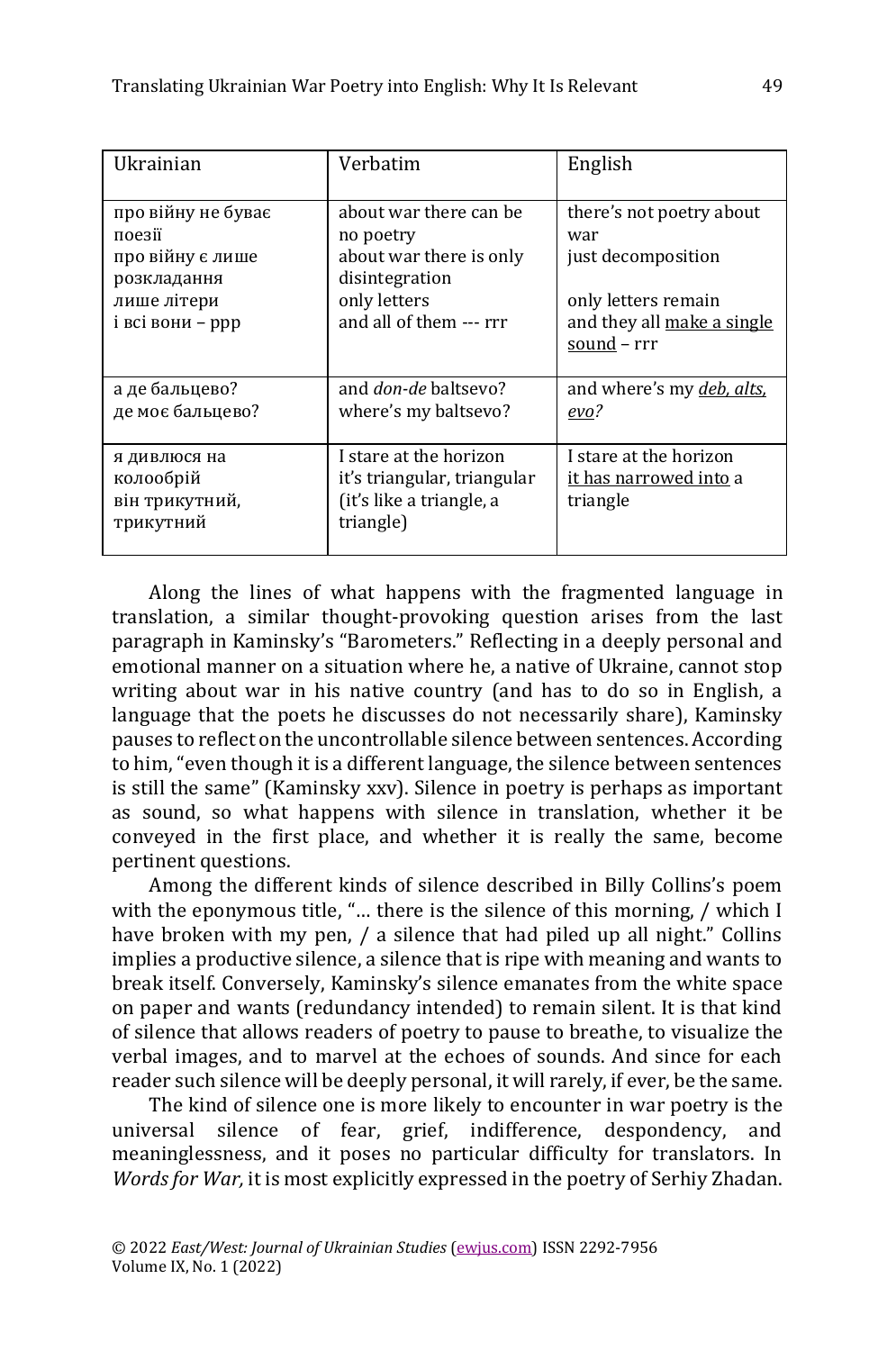| Ukrainian                                                | Verbatim                                                                                       | English                                                      |
|----------------------------------------------------------|------------------------------------------------------------------------------------------------|--------------------------------------------------------------|
| про війну не буває                                       | about war there can be                                                                         | there's not poetry about                                     |
| поезії                                                   | no poetry                                                                                      | war                                                          |
| про війну є лише                                         | about war there is only                                                                        | just decomposition                                           |
| розкладання                                              | disintegration                                                                                 | only letters remain                                          |
| лише літери                                              | only letters                                                                                   | and they all make a single                                   |
| і всі вони - ррр                                         | and all of them --- rrr                                                                        | sound - rrr                                                  |
| а де бальцево?                                           | and <i>don-de</i> baltsevo?                                                                    | and where's my <i>deb</i> , <i>alts</i> ,                    |
| де моє бальцево?                                         | where's my baltsevo?                                                                           | evo?                                                         |
| я дивлюся на<br>колообрій<br>він трикутний,<br>трикутний | I stare at the horizon<br>it's triangular, triangular<br>(it's like a triangle, a<br>triangle) | I stare at the horizon<br>it has narrowed into a<br>triangle |

Along the lines of what happens with the fragmented language in translation, a similar thought-provoking question arises from the last paragraph in Kaminsky's "Barometers." Reflecting in a deeply personal and emotional manner on a situation where he, a native of Ukraine, cannot stop writing about war in his native country (and has to do so in English, a language that the poets he discusses do not necessarily share), Kaminsky pauses to reflect on the uncontrollable silence between sentences. According to him, "even though it is a different language, the silence between sentences is still the same" (Kaminsky xxv). Silence in poetry is perhaps as important as sound, so what happens with silence in translation, whether it be conveyed in the first place, and whether it is really the same, become pertinent questions.

Among the different kinds of silence described in Billy Collins's poem with the eponymous title, "… there is the silence of this morning, / which I have broken with my pen, / a silence that had piled up all night." Collins implies a productive silence, a silence that is ripe with meaning and wants to break itself. Conversely, Kaminsky's silence emanates from the white space on paper and wants (redundancy intended) to remain silent. It is that kind of silence that allows readers of poetry to pause to breathe, to visualize the verbal images, and to marvel at the echoes of sounds. And since for each reader such silence will be deeply personal, it will rarely, if ever, be the same.

The kind of silence one is more likely to encounter in war poetry is the universal silence of fear, grief, indifference, despondency, and meaninglessness, and it poses no particular difficulty for translators. In *Words for War,* it is most explicitly expressed in the poetry of Serhiy Zhadan.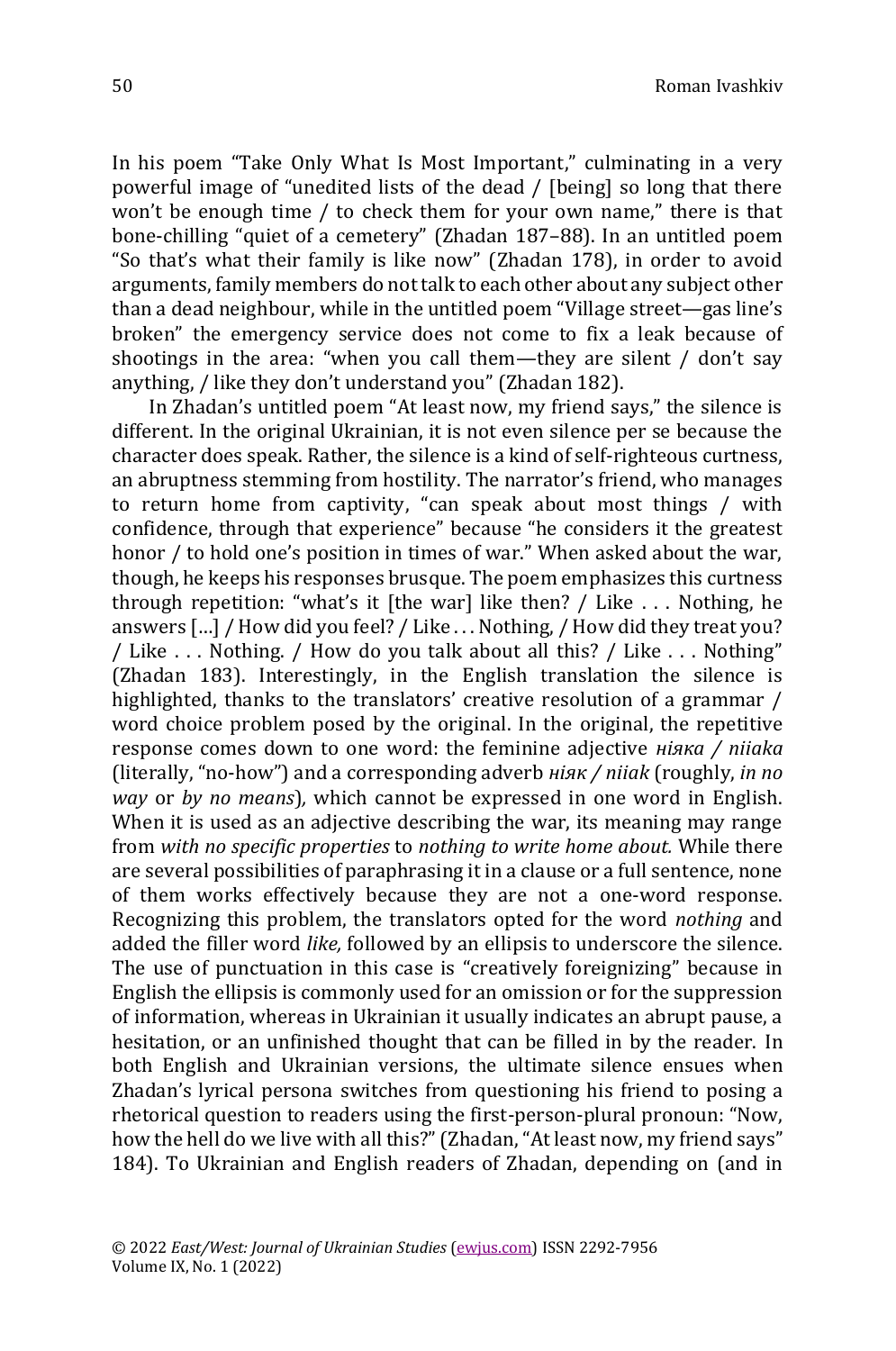In his poem "Take Only What Is Most Important," culminating in a very powerful image of "unedited lists of the dead / [being] so long that there won't be enough time / to check them for your own name," there is that bone-chilling "quiet of a cemetery" (Zhadan 187–88). In an untitled poem "So that's what their family is like now" (Zhadan 178), in order to avoid arguments, family members do not talk to each other about any subject other than a dead neighbour, while in the untitled poem "Village street—gas line's broken" the emergency service does not come to fix a leak because of shootings in the area: "when you call them—they are silent / don't say anything, / like they don't understand you" (Zhadan 182).

In Zhadan's untitled poem "At least now, my friend says," the silence is different. In the original Ukrainian, it is not even silence per se because the character does speak. Rather, the silence is a kind of self-righteous curtness, an abruptness stemming from hostility. The narrator's friend, who manages to return home from captivity, "can speak about most things / with confidence, through that experience" because "he considers it the greatest honor / to hold one's position in times of war." When asked about the war, though, he keeps his responses brusque. The poem emphasizes this curtness through repetition: "what's it [the war] like then? / Like  $\dots$  Nothing, he answers […] / How did you feel? / Like . . . Nothing, / How did they treat you? / Like . . . Nothing. / How do you talk about all this? / Like . . . Nothing" (Zhadan 183). Interestingly, in the English translation the silence is highlighted, thanks to the translators' creative resolution of a grammar / word choice problem posed by the original. In the original, the repetitive response comes down to one word: the feminine adjective *ніяка / niiaka*  (literally, "no-how") and a corresponding adverb *ніяк / niiak* (roughly, *in no way* or *by no means*)*,* which cannot be expressed in one word in English. When it is used as an adjective describing the war, its meaning may range from *with no specific properties* to *nothing to write home about.* While there are several possibilities of paraphrasing it in a clause or a full sentence, none of them works effectively because they are not a one-word response. Recognizing this problem, the translators opted for the word *nothing* and added the filler word *like,* followed by an ellipsis to underscore the silence. The use of punctuation in this case is "creatively foreignizing" because in English the ellipsis is commonly used for an omission or for the suppression of information, whereas in Ukrainian it usually indicates an abrupt pause, a hesitation, or an unfinished thought that can be filled in by the reader. In both English and Ukrainian versions, the ultimate silence ensues when Zhadan's lyrical persona switches from questioning his friend to posing a rhetorical question to readers using the first-person-plural pronoun: "Now, how the hell do we live with all this?" (Zhadan, "At least now, my friend says" 184). To Ukrainian and English readers of Zhadan, depending on (and in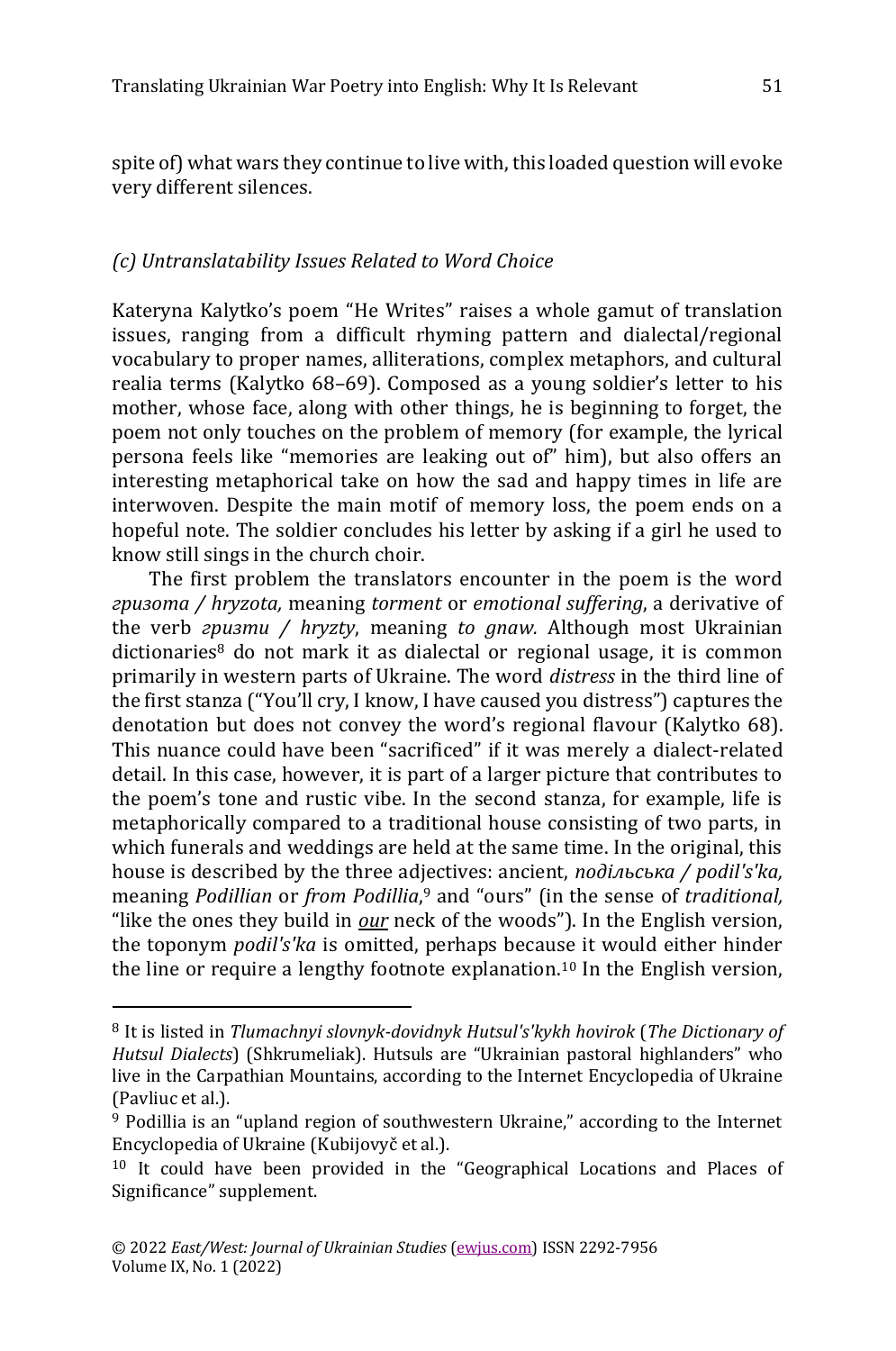spite of) what wars they continue to live with, this loaded question will evoke very different silences.

## *(c) Untranslatability Issues Related to Word Choice*

Kateryna Kalytko's poem "He Writes" raises a whole gamut of translation issues, ranging from a difficult rhyming pattern and dialectal/regional vocabulary to proper names, alliterations, complex metaphors, and cultural realia terms (Kalytko 68–69). Composed as a young soldier's letter to his mother, whose face, along with other things, he is beginning to forget, the poem not only touches on the problem of memory (for example, the lyrical persona feels like "memories are leaking out of" him), but also offers an interesting metaphorical take on how the sad and happy times in life are interwoven. Despite the main motif of memory loss, the poem ends on a hopeful note. The soldier concludes his letter by asking if a girl he used to know still sings in the church choir.

The first problem the translators encounter in the poem is the word *гризота / hryzota,* meaning *torment* or *emotional suffering*, a derivative of the verb *гризти / hryzty*, meaning *to gnaw.* Although most Ukrainian dictionaries<sup>8</sup> do not mark it as dialectal or regional usage, it is common primarily in western parts of Ukraine. The word *distress* in the third line of the first stanza ("You'll cry, I know, I have caused you distress") captures the denotation but does not convey the word's regional flavour (Kalytko 68). This nuance could have been "sacrificed" if it was merely a dialect-related detail. In this case, however, it is part of a larger picture that contributes to the poem's tone and rustic vibe. In the second stanza, for example, life is metaphorically compared to a traditional house consisting of two parts, in which funerals and weddings are held at the same time. In the original, this house is described by the three adjectives: ancient, *подільська / podil's'ka,*  meaning *Podillian* or *from Podillia*, <sup>9</sup> and "ours" (in the sense of *traditional,*  "like the ones they build in *our* neck of the woods"). In the English version, the toponym *podil's'ka* is omitted, perhaps because it would either hinder the line or require a lengthy footnote explanation.<sup>10</sup> In the English version,

<sup>8</sup> It is listed in *Tlumachnyi slovnyk-dovidnyk Hutsul's'kykh hovirok* (*The Dictionary of Hutsul Dialects*) (Shkrumeliak). Hutsuls are "Ukrainian pastoral highlanders" who live in the Carpathian Mountains, according to the Internet Encyclopedia of Ukraine (Pavliuc et al.).

<sup>9</sup> Podillia is an "upland region of southwestern Ukraine," according to the Internet Encyclopedia of Ukraine (Kubijovyč et al.).

<sup>10</sup> It could have been provided in the "Geographical Locations and Places of Significance" supplement.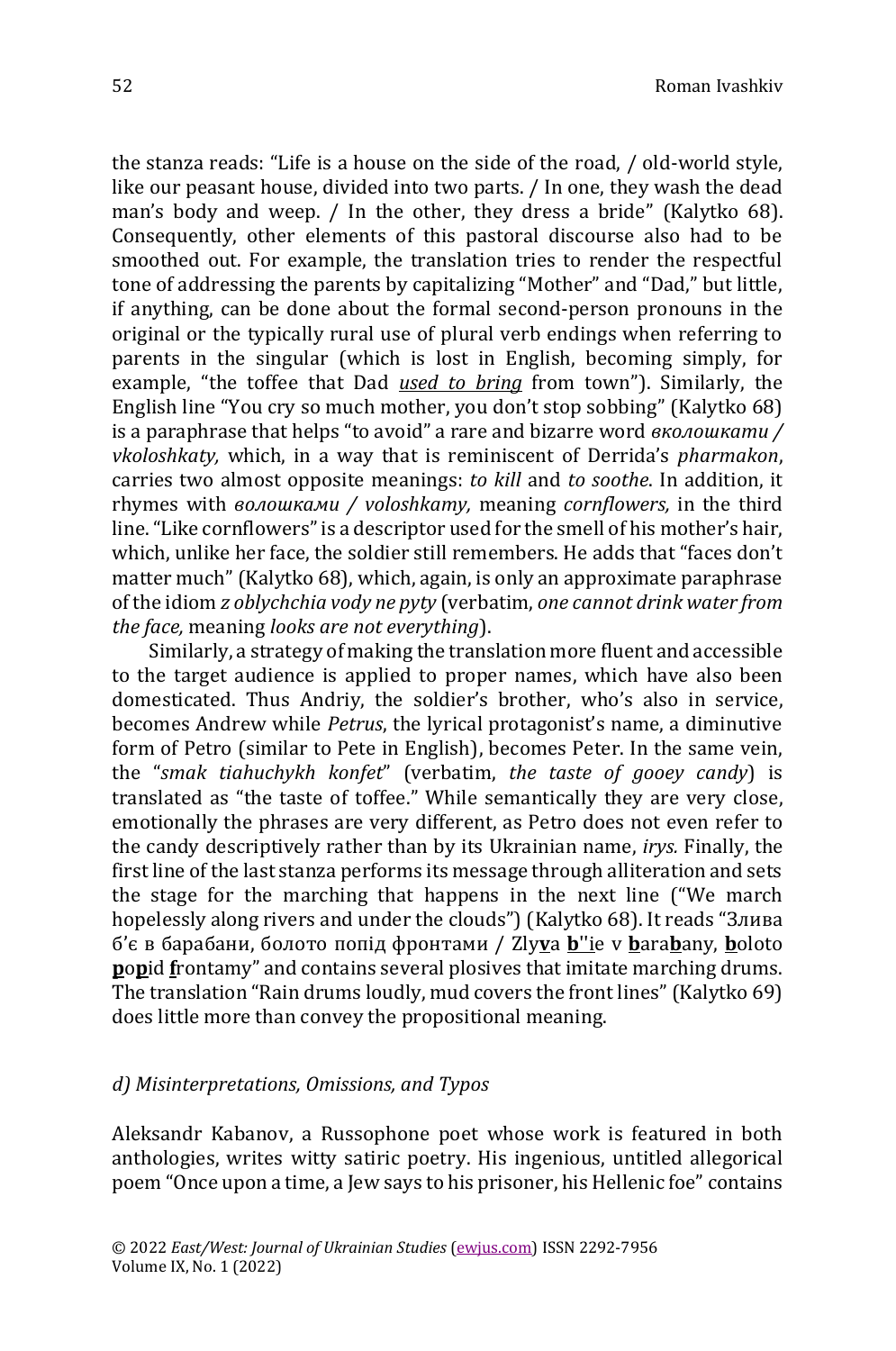the stanza reads: "Life is a house on the side of the road, / old-world style, like our peasant house, divided into two parts. / In one, they wash the dead man's body and weep. / In the other, they dress a bride" (Kalytko 68). Consequently, other elements of this pastoral discourse also had to be smoothed out. For example, the translation tries to render the respectful tone of addressing the parents by capitalizing "Mother" and "Dad," but little, if anything, can be done about the formal second-person pronouns in the original or the typically rural use of plural verb endings when referring to parents in the singular (which is lost in English, becoming simply, for example, "the toffee that Dad *used to bring* from town"). Similarly, the English line "You cry so much mother, you don't stop sobbing" (Kalytko 68) is a paraphrase that helps "to avoid" a rare and bizarre word *вколошкати / vkoloshkaty,* which, in a way that is reminiscent of Derrida's *pharmakon*, carries two almost opposite meanings: *to kill* and *to soothe*. In addition, it rhymes with *волошками / voloshkamy,* meaning *cornflowers,* in the third line. "Like cornflowers" is a descriptor used for the smell of his mother's hair, which, unlike her face, the soldier still remembers. He adds that "faces don't matter much" (Kalytko 68), which, again, is only an approximate paraphrase of the idiom *z oblychchia vody ne pyty* (verbatim, *one cannot drink water from the face,* meaning *looks are not everything*).

Similarly, a strategy of making the translation more fluent and accessible to the target audience is applied to proper names, which have also been domesticated. Thus Andriy, the soldier's brother, who's also in service, becomes Andrew while *Petrus*, the lyrical protagonist's name, a diminutive form of Petro (similar to Pete in English), becomes Peter. In the same vein, the "*smak tiahuchykh konfet*" (verbatim, *the taste of gooey candy*) is translated as "the taste of toffee." While semantically they are very close, emotionally the phrases are very different, as Petro does not even refer to the candy descriptively rather than by its Ukrainian name, *irys.* Finally, the first line of the last stanza performs its message through alliteration and sets the stage for the marching that happens in the next line ("We march hopelessly along rivers and under the clouds") (Kalytko 68). It reads "Злива б'є в барабани, болото попід фронтами / Zly**v**a **b**''ie v **b**ara**b**any, **b**oloto **popid frontamy**" and contains several plosives that imitate marching drums. The translation "Rain drums loudly, mud covers the front lines" (Kalytko 69) does little more than convey the propositional meaning.

#### *d) Misinterpretations, Omissions, and Typos*

Aleksandr Kabanov, a Russophone poet whose work is featured in both anthologies, writes witty satiric poetry. His ingenious, untitled allegorical poem "Once upon a time, a Jew says to his prisoner, his Hellenic foe" contains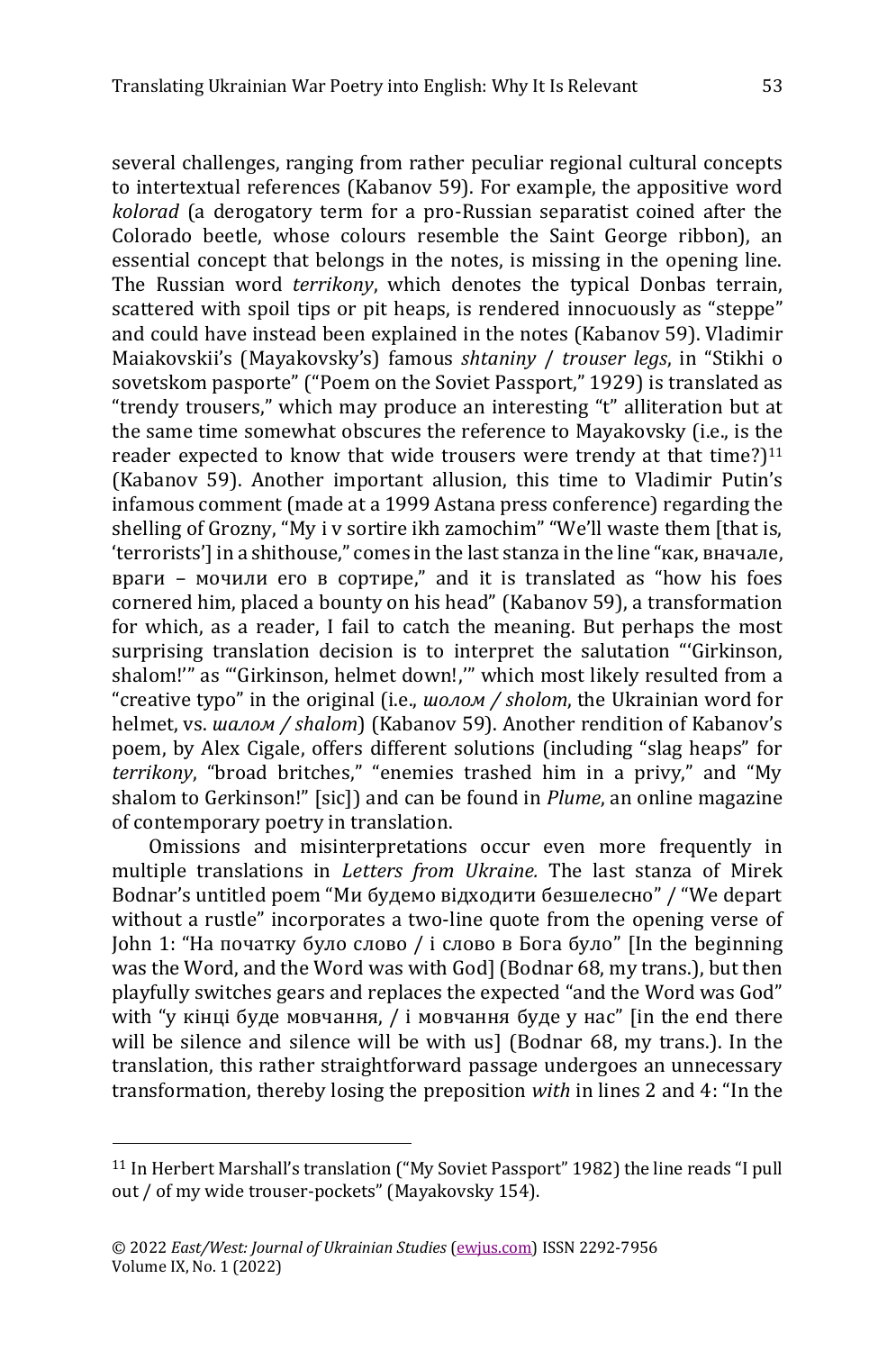several challenges, ranging from rather peculiar regional cultural concepts to intertextual references (Kabanov 59). For example, the appositive word *kolorad* (a derogatory term for a pro-Russian separatist coined after the Colorado beetle, whose colours resemble the Saint George ribbon), an essential concept that belongs in the notes, is missing in the opening line. The Russian word *terrikony*, which denotes the typical Donbas terrain, scattered with spoil tips or pit heaps, is rendered innocuously as "steppe" and could have instead been explained in the notes (Kabanov 59). Vladimir Maiakovskii's (Mayakovsky's) famous *shtaniny* / *trouser legs*, in "Stikhi o sovetskom pasporte" ("Poem on the Soviet Passport," 1929) is translated as "trendy trousers," which may produce an interesting "t" alliteration but at the same time somewhat obscures the reference to Mayakovsky (i.e., is the reader expected to know that wide trousers were trendy at that time?)<sup>11</sup> (Kabanov 59). Another important allusion, this time to Vladimir Putin's infamous comment (made at a 1999 Astana press conference) regarding the shelling of Grozny, "My i v sortire ikh zamochim" "We'll waste them [that is, 'terrorists'] in a shithouse," comes in the last stanza in the line "как, вначале, враги – мочили его в сортире," and it is translated as "how his foes cornered him, placed a bounty on his head" (Kabanov 59), a transformation for which, as a reader, I fail to catch the meaning. But perhaps the most surprising translation decision is to interpret the salutation "'Girkinson, shalom!'" as "'Girkinson, helmet down!,'" which most likely resulted from a "creative typo" in the original (i.e., *шолом / sholom*, the Ukrainian word for helmet, vs. *шалом / shalom*) (Kabanov 59). Another rendition of Kabanov's poem, by Alex Cigale, offers different solutions (including "slag heaps" for *terrikony*, "broad britches," "enemies trashed him in a privy," and "My shalom to G*e*rkinson!" [sic]) and can be found in *Plume*, an online magazine of contemporary poetry in translation.

Omissions and misinterpretations occur even more frequently in multiple translations in *Letters from Ukraine.* The last stanza of Mirek Bodnar's untitled poem "Ми будемо відходити безшелесно" / "We depart without a rustle" incorporates a two-line quote from the opening verse of John 1: "На початку було слово / і слово в Бога було" [In the beginning was the Word, and the Word was with God] (Bodnar 68, my trans.), but then playfully switches gears and replaces the expected "and the Word was God" with "у кінці буде мовчання,  $\ell$  і мовчання буде у нас" [in the end there will be silence and silence will be with us] (Bodnar 68, my trans.). In the translation, this rather straightforward passage undergoes an unnecessary transformation, thereby losing the preposition *with* in lines 2 and 4: "In the

<sup>11</sup> In Herbert Marshall's translation ("My Soviet Passport" 1982) the line reads "I pull out / of my wide trouser-pockets" (Mayakovsky 154).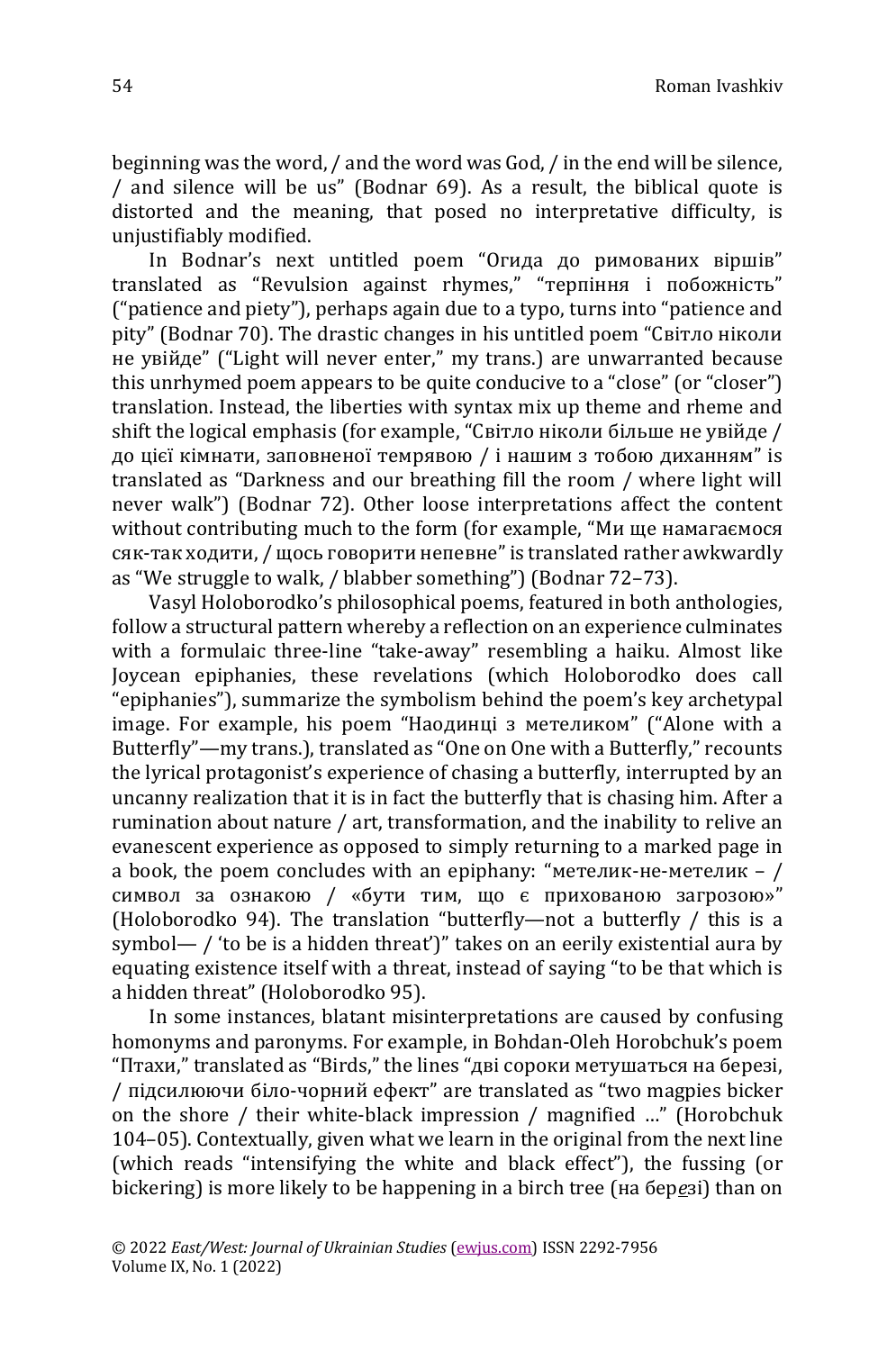beginning was the word, / and the word was God, / in the end will be silence, / and silence will be us" (Bodnar 69). As a result, the biblical quote is distorted and the meaning, that posed no interpretative difficulty, is unjustifiably modified.

In Bodnar's next untitled poem "Огида до римованих віршів" translated as "Revulsion against rhymes," "терпіння і побожність" ("patience and piety"), perhaps again due to a typo, turns into "patience and pity" (Bodnar 70). The drastic changes in his untitled poem "Світло ніколи не увійде" ("Light will never enter," my trans.) are unwarranted because this unrhymed poem appears to be quite conducive to a "close" (or "closer") translation. Instead, the liberties with syntax mix up theme and rheme and shift the logical emphasis (for example, "Світло ніколи більше не увійде / до цієї кімнати, заповненої темрявою / і нашим з тобою диханням" is translated as "Darkness and our breathing fill the room / where light will never walk") (Bodnar 72). Other loose interpretations affect the content without contributing much to the form (for example, "Ми ще намагаємося сяк-так ходити, / щось говорити непевне" is translated rather awkwardly as "We struggle to walk, / blabber something") (Bodnar 72–73).

Vasyl Holoborodko's philosophical poems, featured in both anthologies, follow a structural pattern whereby a reflection on an experience culminates with a formulaic three-line "take-away" resembling a haiku. Almost like Joycean epiphanies, these revelations (which Holoborodko does call "epiphanies"), summarize the symbolism behind the poem's key archetypal image. For example, his poem "Наодинці з метеликом" ("Alone with a Butterfly"—my trans.), translated as "One on One with a Butterfly," recounts the lyrical protagonist's experience of chasing a butterfly, interrupted by an uncanny realization that it is in fact the butterfly that is chasing him. After a rumination about nature / art, transformation, and the inability to relive an evanescent experience as opposed to simply returning to a marked page in a book, the poem concludes with an epiphany: "метелик-не-метелик –  $/$ символ за ознакою / «бути тим, що є прихованою загрозою»" (Holoborodko 94). The translation "butterfly—not a butterfly / this is a symbol— / 'to be is a hidden threat')" takes on an eerily existential aura by equating existence itself with a threat, instead of saying "to be that which is a hidden threat" (Holoborodko 95).

In some instances, blatant misinterpretations are caused by confusing homonyms and paronyms. For example, in Bohdan-Oleh Horobchuk's poem "Птахи," translated as "Birds," the lines "дві сороки метушаться на березі, / підсилюючи біло-чорний ефект" are translated as "two magpies bicker on the shore / their white-black impression / magnified …" (Horobchuk 104–05). Contextually, given what we learn in the original from the next line (which reads "intensifying the white and black effect"), the fussing (or bickering) is more likely to be happening in a birch tree (на бер*е*зі) than on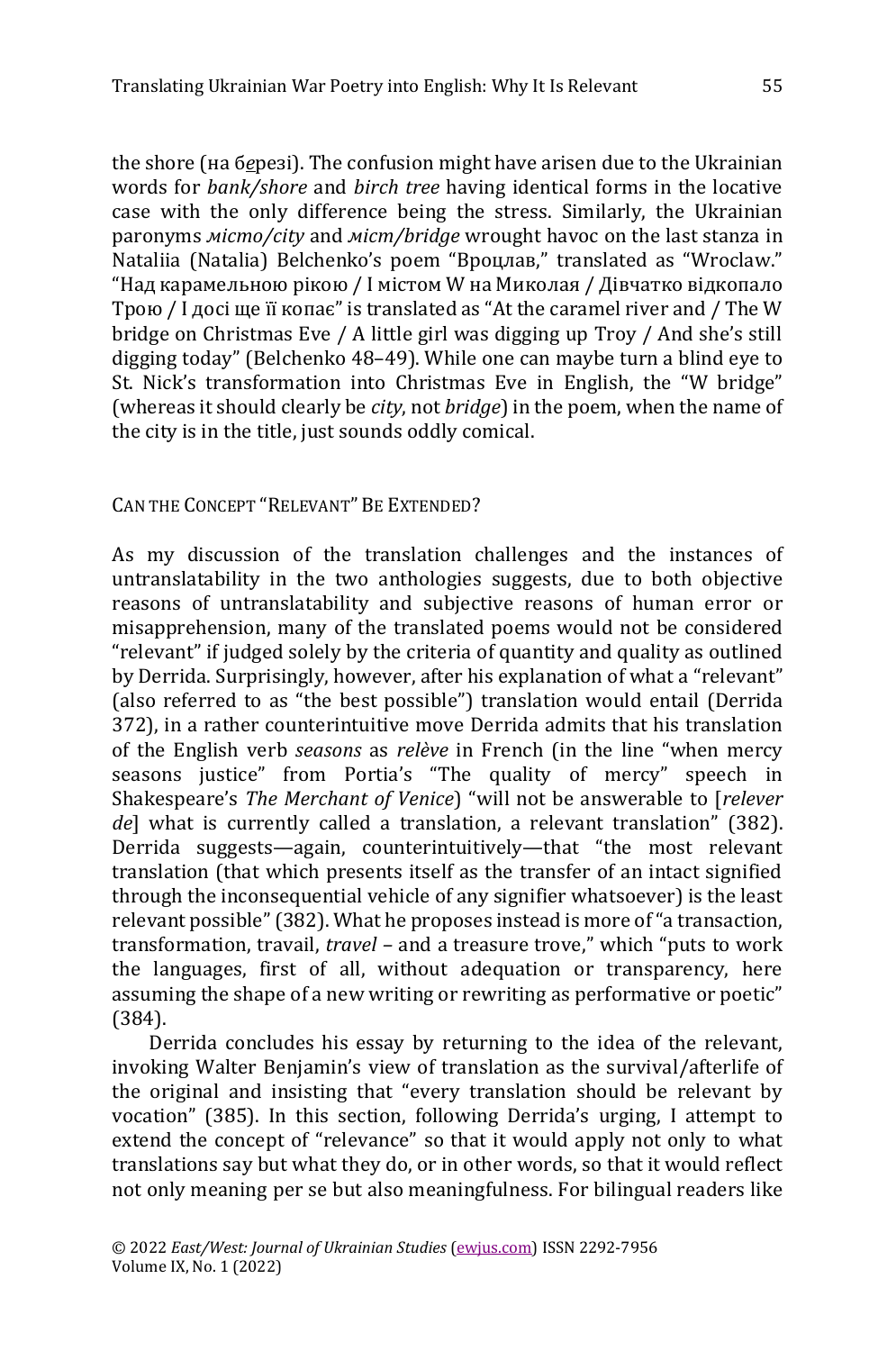the shore (на б*е*резі). The confusion might have arisen due to the Ukrainian words for *bank/shore* and *birch tree* having identical forms in the locative case with the only difference being the stress. Similarly, the Ukrainian paronyms *місто/city* and *міст/bridge* wrought havoc on the last stanza in Nataliia (Natalia) Belchenko's poem "Вроцлав," translated as "Wroclaw." "Над карамельною рікою / І містом W на Миколая / Дівчатко відкопало Трою / І досі ще її копає" is translated as "At the caramel river and / The W bridge on Christmas Eve / A little girl was digging up Troy / And she's still digging today" (Belchenko 48–49). While one can maybe turn a blind eye to St. Nick's transformation into Christmas Eve in English, the "W bridge" (whereas it should clearly be *city*, not *bridge*) in the poem, when the name of the city is in the title, just sounds oddly comical.

CAN THE CONCEPT "RELEVANT" BE EXTENDED?

As my discussion of the translation challenges and the instances of untranslatability in the two anthologies suggests, due to both objective reasons of untranslatability and subjective reasons of human error or misapprehension, many of the translated poems would not be considered "relevant" if judged solely by the criteria of quantity and quality as outlined by Derrida. Surprisingly, however, after his explanation of what a "relevant" (also referred to as "the best possible") translation would entail (Derrida 372), in a rather counterintuitive move Derrida admits that his translation of the English verb *seasons* as *relève* in French (in the line "when mercy seasons justice" from Portia's "The quality of mercy" speech in Shakespeare's *The Merchant of Venice*) "will not be answerable to [*relever de*] what is currently called a translation, a relevant translation" (382). Derrida suggests—again, counterintuitively—that "the most relevant translation (that which presents itself as the transfer of an intact signified through the inconsequential vehicle of any signifier whatsoever) is the least relevant possible" (382). What he proposes instead is more of "a transaction, transformation, travail, *travel –* and a treasure trove," which "puts to work the languages, first of all, without adequation or transparency, here assuming the shape of a new writing or rewriting as performative or poetic" (384).

Derrida concludes his essay by returning to the idea of the relevant, invoking Walter Benjamin's view of translation as the survival/afterlife of the original and insisting that "every translation should be relevant by vocation" (385). In this section, following Derrida's urging, I attempt to extend the concept of "relevance" so that it would apply not only to what translations say but what they do, or in other words, so that it would reflect not only meaning per se but also meaningfulness. For bilingual readers like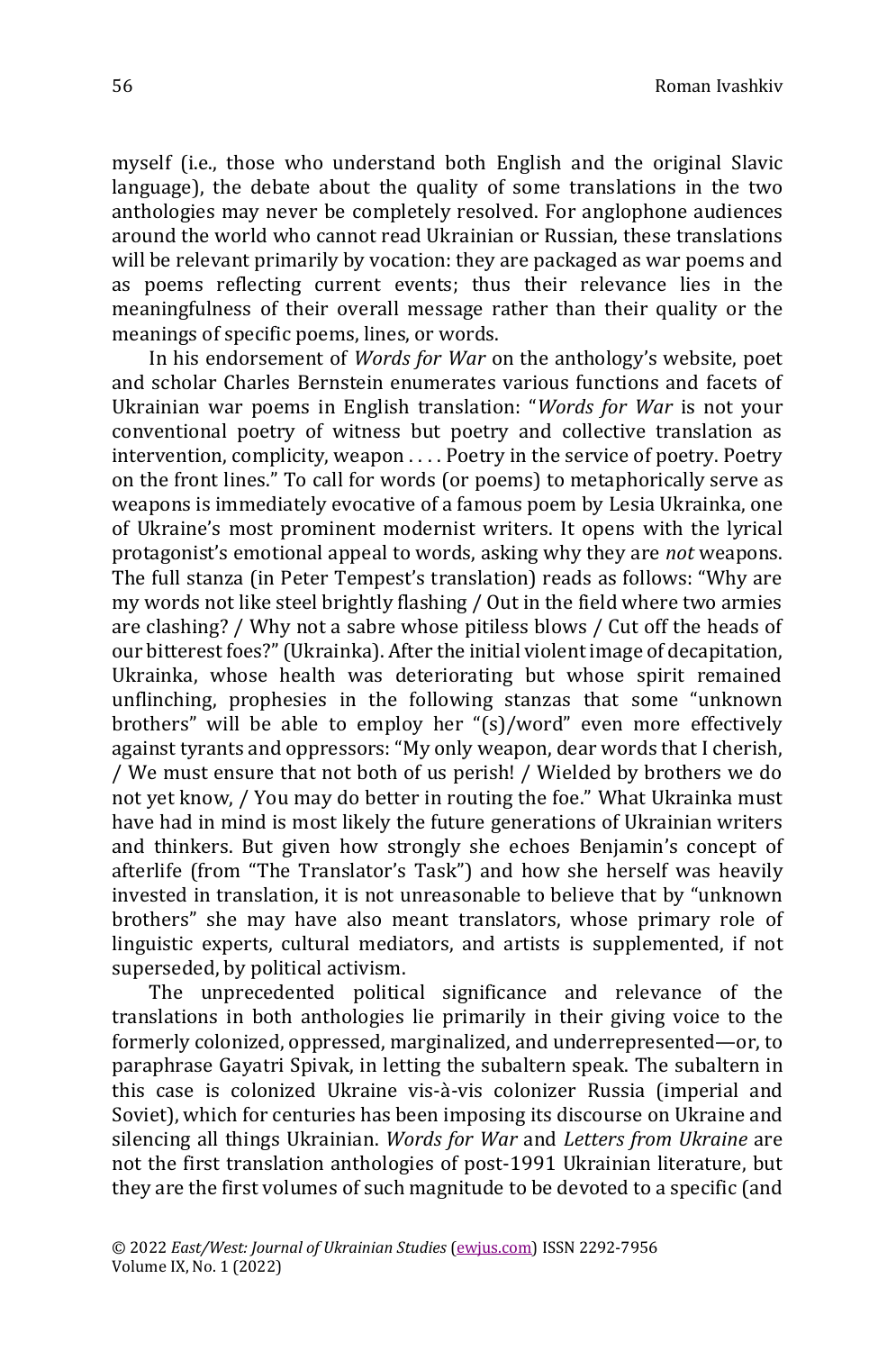myself (i.e., those who understand both English and the original Slavic language), the debate about the quality of some translations in the two anthologies may never be completely resolved. For anglophone audiences around the world who cannot read Ukrainian or Russian, these translations will be relevant primarily by vocation: they are packaged as war poems and as poems reflecting current events; thus their relevance lies in the meaningfulness of their overall message rather than their quality or the meanings of specific poems, lines, or words.

In his endorsement of *Words for War* on the anthology's website, poet and scholar Charles Bernstein enumerates various functions and facets of Ukrainian war poems in English translation: "*Words for War* is not your conventional poetry of witness but poetry and collective translation as intervention, complicity, weapon . . . . Poetry in the service of poetry. Poetry on the front lines." To call for words (or poems) to metaphorically serve as weapons is immediately evocative of a famous poem by Lesia Ukrainka, one of Ukraine's most prominent modernist writers. It opens with the lyrical protagonist's emotional appeal to words, asking why they are *not* weapons. The full stanza (in Peter Tempest's translation) reads as follows: "Why are my words not like steel brightly flashing / Out in the field where two armies are clashing? / Why not a sabre whose pitiless blows / Cut off the heads of our bitterest foes?"(Ukrainka). After the initial violent image of decapitation, Ukrainka, whose health was deteriorating but whose spirit remained unflinching, prophesies in the following stanzas that some "unknown brothers" will be able to employ her "(s)/word" even more effectively against tyrants and oppressors: "My only weapon, dear words that I cherish, / We must ensure that not both of us perish! / Wielded by brothers we do not yet know, / You may do better in routing the foe." What Ukrainka must have had in mind is most likely the future generations of Ukrainian writers and thinkers. But given how strongly she echoes Benjamin's concept of afterlife (from "The Translator's Task") and how she herself was heavily invested in translation, it is not unreasonable to believe that by "unknown brothers" she may have also meant translators, whose primary role of linguistic experts, cultural mediators, and artists is supplemented, if not superseded, by political activism.

The unprecedented political significance and relevance of the translations in both anthologies lie primarily in their giving voice to the formerly colonized, oppressed, marginalized, and underrepresented—or, to paraphrase Gayatri Spivak, in letting the subaltern speak. The subaltern in this case is colonized Ukraine vis-à-vis colonizer Russia (imperial and Soviet), which for centuries has been imposing its discourse on Ukraine and silencing all things Ukrainian. *Words for War* and *Letters from Ukraine* are not the first translation anthologies of post-1991 Ukrainian literature, but they are the first volumes of such magnitude to be devoted to a specific (and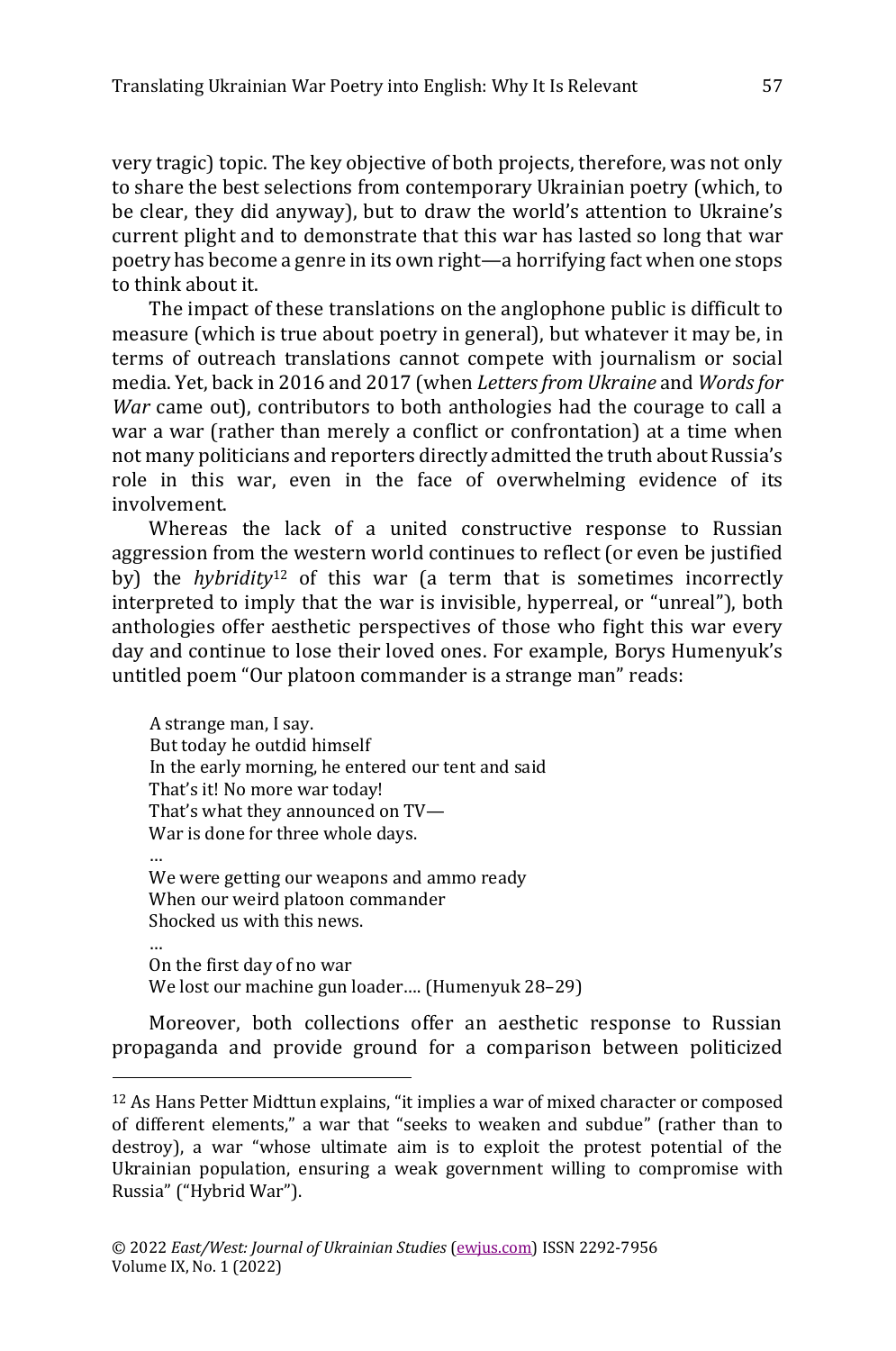very tragic) topic. The key objective of both projects, therefore, was not only to share the best selections from contemporary Ukrainian poetry (which, to be clear, they did anyway), but to draw the world's attention to Ukraine's current plight and to demonstrate that this war has lasted so long that war poetry has become a genre in its own right—a horrifying fact when one stops to think about it.

The impact of these translations on the anglophone public is difficult to measure (which is true about poetry in general), but whatever it may be, in terms of outreach translations cannot compete with journalism or social media. Yet, back in 2016 and 2017 (when *Letters from Ukraine* and *Words for War* came out), contributors to both anthologies had the courage to call a war a war (rather than merely a conflict or confrontation) at a time when not many politicians and reporters directly admitted the truth about Russia's role in this war, even in the face of overwhelming evidence of its involvement.

Whereas the lack of a united constructive response to Russian aggression from the western world continues to reflect (or even be justified by) the *hybridity*<sup>12</sup> of this war (a term that is sometimes incorrectly interpreted to imply that the war is invisible, hyperreal, or "unreal"), both anthologies offer aesthetic perspectives of those who fight this war every day and continue to lose their loved ones. For example, Borys Humenyuk's untitled poem "Our platoon commander is a strange man" reads:

A strange man, I say. But today he outdid himself In the early morning, he entered our tent and said That's it! No more war today! That's what they announced on TV— War is done for three whole days.

… We were getting our weapons and ammo ready When our weird platoon commander Shocked us with this news.

… On the first day of no war We lost our machine gun loader…. (Humenyuk 28–29)

Moreover, both collections offer an aesthetic response to Russian propaganda and provide ground for a comparison between politicized

<sup>12</sup> As Hans Petter Midttun explains, "it implies a war of mixed character or composed of different elements," a war that "seeks to weaken and subdue" (rather than to destroy), a war "whose ultimate aim is to exploit the protest potential of the Ukrainian population, ensuring a weak government willing to compromise with Russia" ("Hybrid War").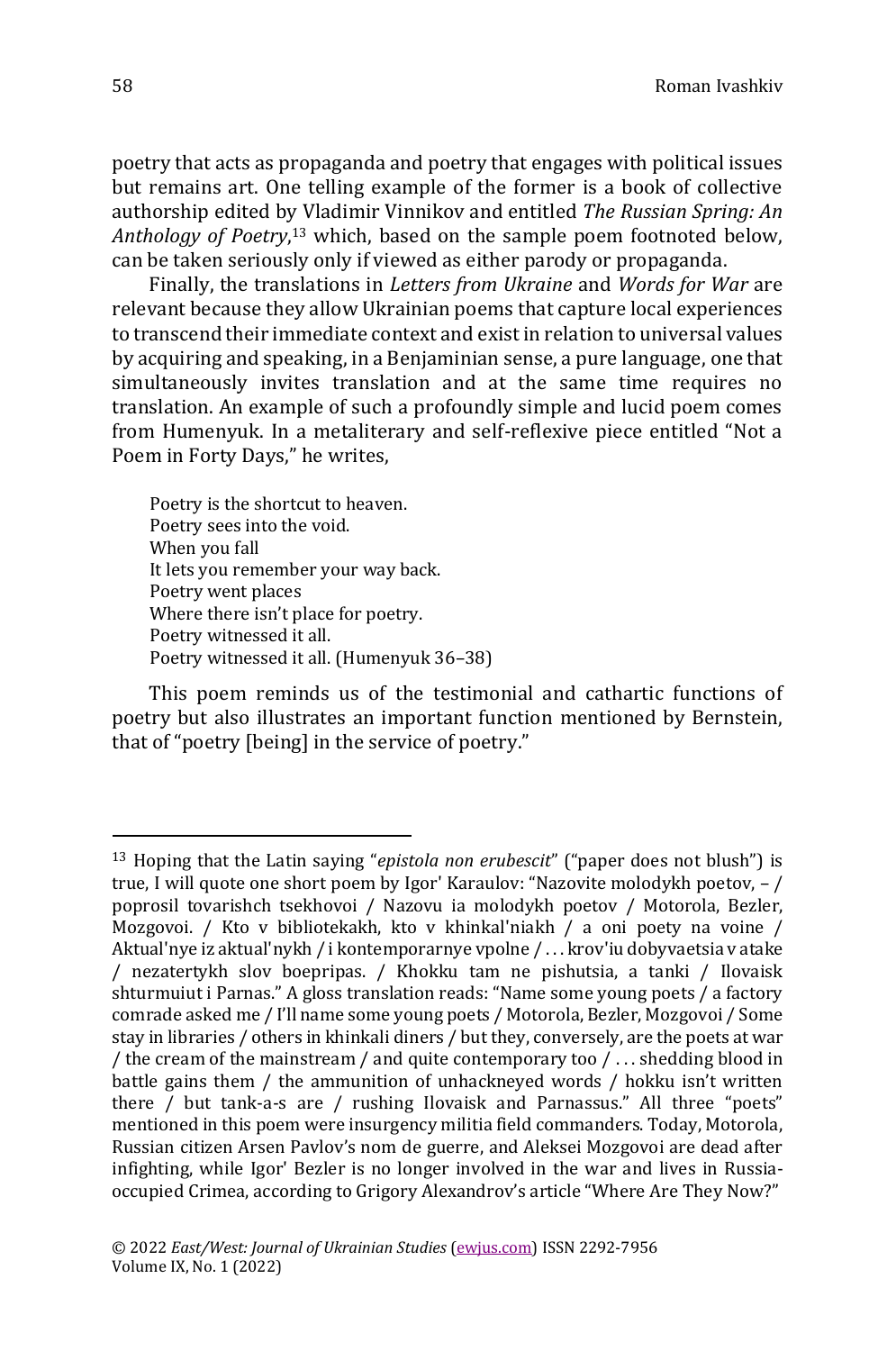poetry that acts as propaganda and poetry that engages with political issues but remains art. One telling example of the former is a book of collective authorship edited by Vladimir Vinnikov and entitled *The Russian Spring: An Anthology of Poetry*, <sup>13</sup> which, based on the sample poem footnoted below, can be taken seriously only if viewed as either parody or propaganda.

Finally, the translations in *Letters from Ukraine* and *Words for War* are relevant because they allow Ukrainian poems that capture local experiences to transcend their immediate context and exist in relation to universal values by acquiring and speaking, in a Benjaminian sense, a pure language, one that simultaneously invites translation and at the same time requires no translation. An example of such a profoundly simple and lucid poem comes from Humenyuk. In a metaliterary and self-reflexive piece entitled "Not a Poem in Forty Days," he writes,

Poetry is the shortcut to heaven. Poetry sees into the void. When you fall It lets you remember your way back. Poetry went places Where there isn't place for poetry. Poetry witnessed it all. Poetry witnessed it all. (Humenyuk 36–38)

This poem reminds us of the testimonial and cathartic functions of poetry but also illustrates an important function mentioned by Bernstein, that of "poetry [being] in the service of poetry."

<sup>13</sup> Hoping that the Latin saying "*epistola non erubescit*" ("paper does not blush") is true, I will quote one short poem by Igor' Karaulov: "Nazovite molodykh poetov, – / poprosil tovarishch tsekhovoi / Nazovu ia molodykh poetov / Motorola, Bezler, Mozgovoi. / Kto v bibliotekakh, kto v khinkal'niakh / a oni poety na voine / Aktual'nye iz aktual'nykh / i kontemporarnye vpolne / . . . krov'iu dobyvaetsia v atake / nezatertykh slov boepripas. / Khokku tam ne pishutsia, a tanki / Ilovaisk shturmuiut i Parnas." A gloss translation reads: "Name some young poets / a factory comrade asked me / I'll name some young poets / Motorola, Bezler, Mozgovoi / Some stay in libraries / others in khinkali diners / but they, conversely, are the poets at war / the cream of the mainstream / and quite contemporary too / . . . shedding blood in battle gains them / the ammunition of unhackneyed words / hokku isn't written there / but tank-a-s are / rushing Ilovaisk and Parnassus." All three "poets" mentioned in this poem were insurgency militia field commanders. Today, Motorola, Russian citizen Arsen Pavlov's nom de guerre, and Aleksei Mozgovoi are dead after infighting, while Igor' Bezler is no longer involved in the war and lives in Russiaoccupied Crimea, according to Grigory Alexandrov's article "Where Are They Now?"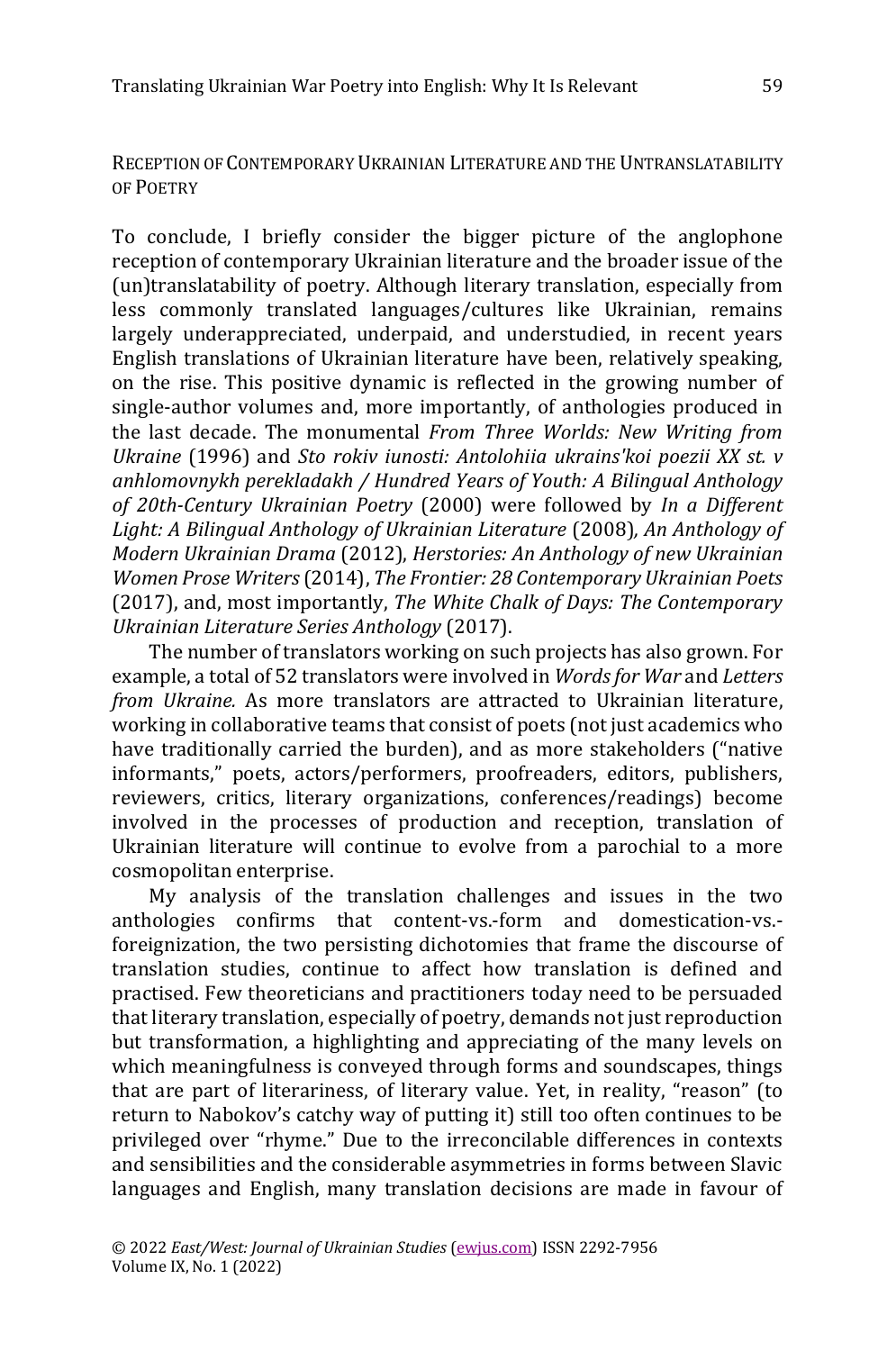RECEPTION OF CONTEMPORARY UKRAINIAN LITERATURE AND THE UNTRANSLATABILITY OF POETRY

To conclude, I briefly consider the bigger picture of the anglophone reception of contemporary Ukrainian literature and the broader issue of the (un)translatability of poetry. Although literary translation, especially from less commonly translated languages/cultures like Ukrainian, remains largely underappreciated, underpaid, and understudied, in recent years English translations of Ukrainian literature have been, relatively speaking, on the rise. This positive dynamic is reflected in the growing number of single-author volumes and, more importantly, of anthologies produced in the last decade. The monumental *From Three Worlds: New Writing from Ukraine* (1996) and *Sto rokiv iunosti: Antolohiia ukrains'koi poezii XX st. v anhlomovnykh perekladakh / Hundred Years of Youth: A Bilingual Anthology of 20th-Century Ukrainian Poetry* (2000) were followed by *In a Different Light: A Bilingual Anthology of Ukrainian Literature* (2008)*, An Anthology of Modern Ukrainian Drama* (2012), *Herstories: An Anthology of new Ukrainian Women Prose Writers* (2014), *The Frontier: 28 Contemporary Ukrainian Poets*  (2017), and, most importantly, *The White Chalk of Days: The Contemporary Ukrainian Literature Series Anthology* (2017).

The number of translators working on such projects has also grown. For example, a total of 52 translators were involved in *Words for War* and *Letters from Ukraine.* As more translators are attracted to Ukrainian literature, working in collaborative teams that consist of poets (not just academics who have traditionally carried the burden), and as more stakeholders ("native informants," poets, actors/performers, proofreaders, editors, publishers, reviewers, critics, literary organizations, conferences/readings) become involved in the processes of production and reception, translation of Ukrainian literature will continue to evolve from a parochial to a more cosmopolitan enterprise.

My analysis of the translation challenges and issues in the two anthologies confirms that content-vs.-form and domestication-vs. foreignization, the two persisting dichotomies that frame the discourse of translation studies, continue to affect how translation is defined and practised. Few theoreticians and practitioners today need to be persuaded that literary translation, especially of poetry, demands not just reproduction but transformation, a highlighting and appreciating of the many levels on which meaningfulness is conveyed through forms and soundscapes, things that are part of literariness, of literary value. Yet, in reality, "reason" (to return to Nabokov's catchy way of putting it) still too often continues to be privileged over "rhyme." Due to the irreconcilable differences in contexts and sensibilities and the considerable asymmetries in forms between Slavic languages and English, many translation decisions are made in favour of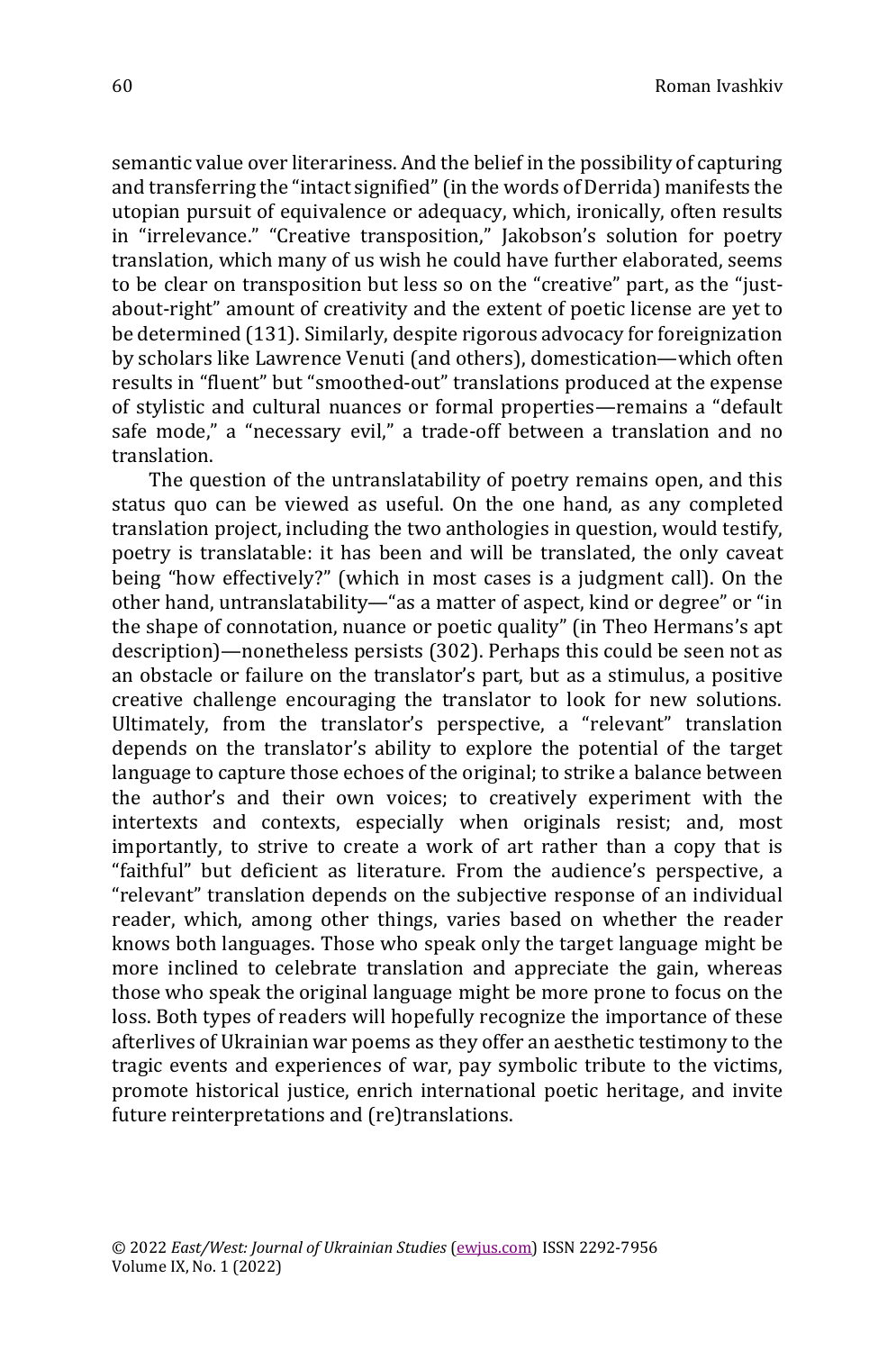semantic value over literariness. And the belief in the possibility of capturing and transferring the "intact signified" (in the words of Derrida) manifests the utopian pursuit of equivalence or adequacy, which, ironically, often results in "irrelevance." "Creative transposition," Jakobson's solution for poetry translation, which many of us wish he could have further elaborated, seems to be clear on transposition but less so on the "creative" part, as the "justabout-right" amount of creativity and the extent of poetic license are yet to be determined (131). Similarly, despite rigorous advocacy for foreignization by scholars like Lawrence Venuti (and others), domestication—which often results in "fluent" but "smoothed-out" translations produced at the expense of stylistic and cultural nuances or formal properties—remains a "default safe mode," a "necessary evil," a trade-off between a translation and no translation.

The question of the untranslatability of poetry remains open, and this status quo can be viewed as useful. On the one hand, as any completed translation project, including the two anthologies in question, would testify, poetry is translatable: it has been and will be translated, the only caveat being "how effectively?" (which in most cases is a judgment call). On the other hand, untranslatability—"as a matter of aspect, kind or degree" or "in the shape of connotation, nuance or poetic quality" (in Theo Hermans's apt description)—nonetheless persists (302). Perhaps this could be seen not as an obstacle or failure on the translator's part, but as a stimulus, a positive creative challenge encouraging the translator to look for new solutions. Ultimately, from the translator's perspective, a "relevant" translation depends on the translator's ability to explore the potential of the target language to capture those echoes of the original; to strike a balance between the author's and their own voices; to creatively experiment with the intertexts and contexts, especially when originals resist; and, most importantly, to strive to create a work of art rather than a copy that is "faithful" but deficient as literature. From the audience's perspective, a "relevant" translation depends on the subjective response of an individual reader, which, among other things, varies based on whether the reader knows both languages. Those who speak only the target language might be more inclined to celebrate translation and appreciate the gain, whereas those who speak the original language might be more prone to focus on the loss. Both types of readers will hopefully recognize the importance of these afterlives of Ukrainian war poems as they offer an aesthetic testimony to the tragic events and experiences of war, pay symbolic tribute to the victims, promote historical justice, enrich international poetic heritage, and invite future reinterpretations and (re)translations.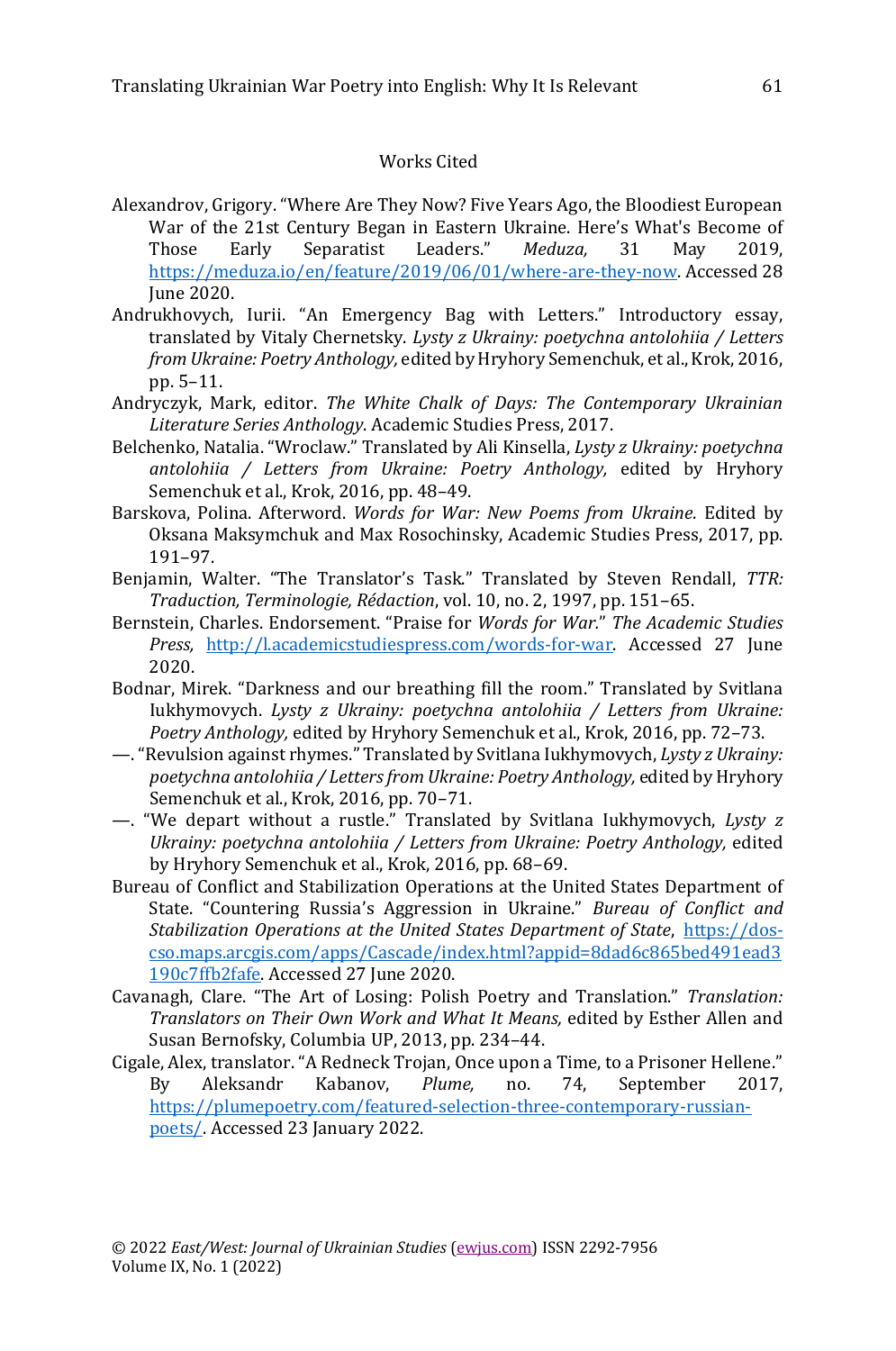#### Works Cited

- Alexandrov, Grigory. "Where Are They Now? Five Years Ago, the Bloodiest European War of the 21st Century Began in Eastern Ukraine. Here's What's Become of Those Early Separatist Leaders." *Meduza,* 31 May 2019, [https://meduza.io/en/feature/2019/06/01/where-are-they-now.](https://meduza.io/en/feature/2019/06/01/where-are-they-now) Accessed 28 June 2020.
- Andrukhovych, Iurii. "An Emergency Bag with Letters." Introductory essay, translated by Vitaly Chernetsky. *Lysty z Ukrainy: poetychna antolohiia / Letters from Ukraine: Poetry Anthology,* edited by Hryhory Semenchuk, et al., Krok, 2016, pp. 5–11.
- Andryczyk, Mark, editor. *The White Chalk of Days: The Contemporary Ukrainian Literature Series Anthology*. Academic Studies Press, 2017.
- Belchenko, Natalia. "Wroclaw." Translated by Ali Kinsella, *Lysty z Ukrainy: poetychna antolohiia / Letters from Ukraine: Poetry Anthology,* edited by Hryhory Semenchuk et al., Krok, 2016, pp. 48–49.
- Barskova, Polina. Afterword. *Words for War: New Poems from Ukraine*. Edited by Oksana Maksymchuk and Max Rosochinsky, Academic Studies Press, 2017, pp. 191–97.
- Benjamin, Walter. "The Translator's Task." Translated by Steven Rendall, *TTR: Traduction, Terminologie, Rédaction*, vol. 10, no. 2, 1997, pp. 151–65.
- Bernstein, Charles. Endorsement. "Praise for *Words for War.*" *The Academic Studies Press,* [http://l.academicstudiespress.com/words-for-war.](http://l.academicstudiespress.com/words-for-war) Accessed 27 June 2020.
- Bodnar, Mirek. "Darkness and our breathing fill the room." Translated by Svitlana Iukhymovych. *Lysty z Ukrainy: poetychna antolohiia / Letters from Ukraine: Poetry Anthology,* edited by Hryhory Semenchuk et al., Krok, 2016, pp. 72–73.
- —."Revulsion against rhymes." Translated by Svitlana Iukhymovych, *Lysty z Ukrainy: poetychna antolohiia / Letters from Ukraine: Poetry Anthology,* edited by Hryhory Semenchuk et al., Krok, 2016, pp. 70–71.
- —. "We depart without a rustle." Translated by Svitlana Iukhymovych, *Lysty z Ukrainy: poetychna antolohiia / Letters from Ukraine: Poetry Anthology,* edited by Hryhory Semenchuk et al., Krok, 2016, pp. 68–69.
- Bureau of Conflict and Stabilization Operations at the United States Department of State. "Countering Russia's Aggression in Ukraine." *Bureau of Conflict and Stabilization Operations at the United States Department of State*, [https://dos](https://dos-cso.maps.arcgis.com/apps/Cascade/index.html?appid=8dad6c865bed491ead3190c7ffb2fafe)[cso.maps.arcgis.com/apps/Cascade/index.html?appid=8dad6c865bed491ead3](https://dos-cso.maps.arcgis.com/apps/Cascade/index.html?appid=8dad6c865bed491ead3190c7ffb2fafe) [190c7ffb2fafe.](https://dos-cso.maps.arcgis.com/apps/Cascade/index.html?appid=8dad6c865bed491ead3190c7ffb2fafe) Accessed 27 June 2020.
- Cavanagh, Clare. "The Art of Losing: Polish Poetry and Translation." *Translation: Translators on Their Own Work and What It Means,* edited by Esther Allen and Susan Bernofsky, Columbia UP, 2013, pp. 234–44.
- Cigale, Alex, translator. "A Redneck Trojan, Once upon a Time, to a Prisoner Hellene." By Aleksandr Kabanov, *Plume,* no. 74, September 2017, [https://plumepoetry.com/featured-selection-three-contemporary-russian](https://plumepoetry.com/featured-selection-three-contemporary-russian-poets/)[poets/.](https://plumepoetry.com/featured-selection-three-contemporary-russian-poets/) Accessed 23 January 2022.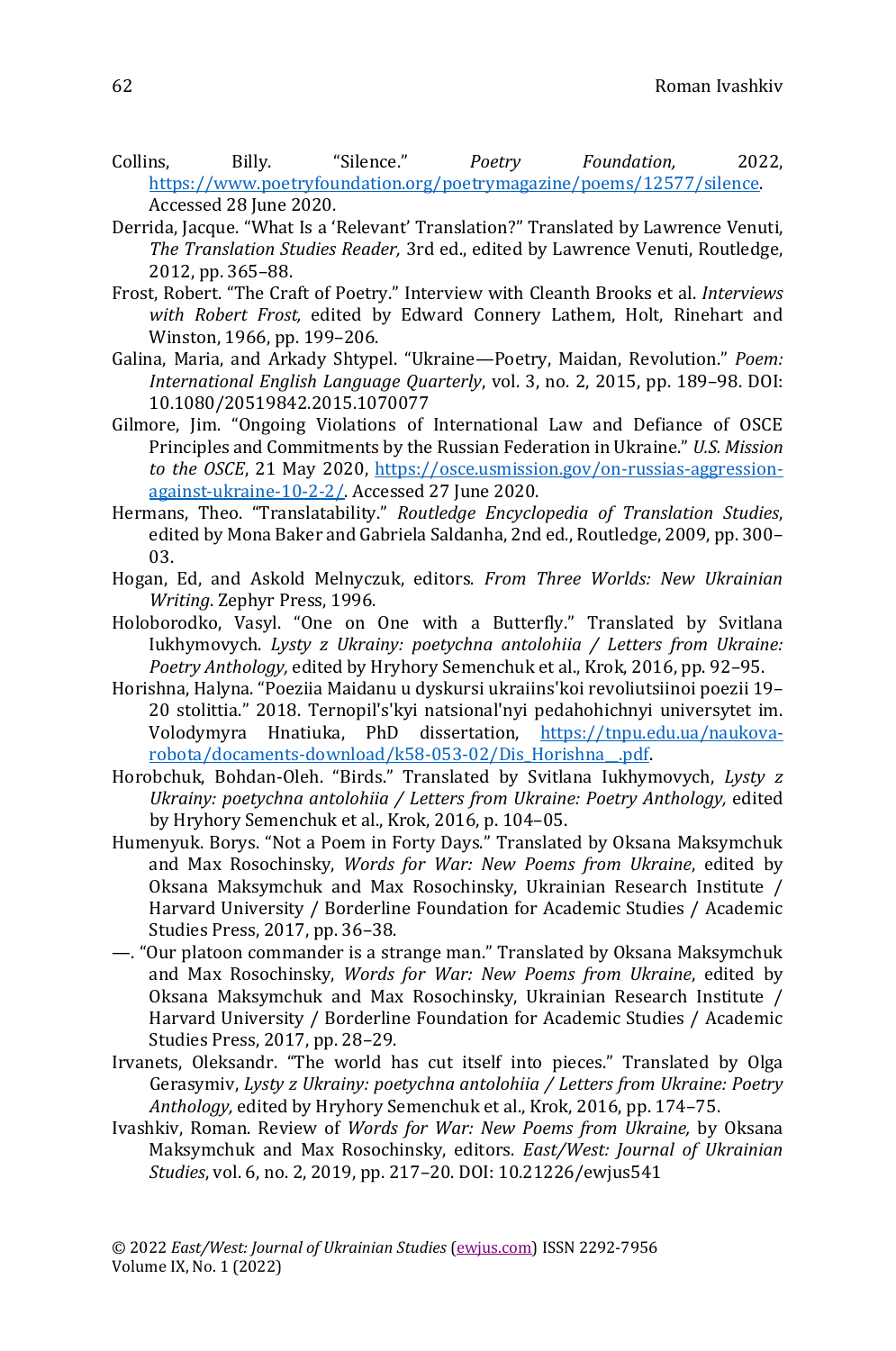- Collins, Billy. "Silence." *Poetry Foundation,* 2022, [https://www.poetryfoundation.org/poetrymagazine/poems/12577/silence.](https://www.poetryfoundation.org/poetrymagazine/poems/12577/silence)  Accessed 28 June 2020.
- Derrida, Jacque. "What Is a 'Relevant' Translation?" Translated by Lawrence Venuti, *The Translation Studies Reader,* 3rd ed., edited by Lawrence Venuti, Routledge, 2012, pp. 365–88.
- Frost, Robert. "The Craft of Poetry." Interview with Cleanth Brooks et al. *Interviews with Robert Frost,* edited by Edward Connery Lathem, Holt, Rinehart and Winston, 1966, pp. 199–206.
- Galina, Maria, and Arkady Shtypel. "Ukraine—Poetry, Maidan, Revolution." *Poem: International English Language Quarterly*, vol. 3, no. 2, 2015, pp. 189–98. DOI: 10.1080/20519842.2015.1070077
- Gilmore, Jim. "Ongoing Violations of International Law and Defiance of OSCE Principles and Commitments by the Russian Federation in Ukraine." *U.S. Mission to the OSCE*, 21 May 2020, [https://osce.usmission.gov/on-russias-aggression](https://osce.usmission.gov/on-russias-aggression-against-ukraine-10-2-2/)[against-ukraine-10-2-2/.](https://osce.usmission.gov/on-russias-aggression-against-ukraine-10-2-2/) Accessed 27 June 2020.
- Hermans, Theo. "Translatability." *Routledge Encyclopedia of Translation Studies*, edited by Mona Baker and Gabriela Saldanha, 2nd ed., Routledge, 2009, pp. 300– 03.
- Hogan, Ed, and Askold Melnyczuk, editors. *From Three Worlds: New Ukrainian Writing*. Zephyr Press, 1996.
- Holoborodko, Vasyl. "One on One with a Butterfly." Translated by Svitlana Iukhymovych. *Lysty z Ukrainy: poetychna antolohiia / Letters from Ukraine: Poetry Anthology,* edited by Hryhory Semenchuk et al., Krok, 2016, pp. 92–95.
- Horishna, Halyna. "Poeziia Maidanu u dyskursi ukraiins'koi revoliutsiinoi poezii 19– 20 stolittia." 2018. Ternopil's'kyi natsional'nyi pedahohichnyi universytet im. Volodymyra Hnatiuka, PhD dissertation, [https://tnpu.edu.ua/naukova](https://tnpu.edu.ua/naukova-robota/docaments-download/k58-053-02/Dis_Horishna__.pdf)[robota/docaments-download/k58-053-02/Dis\\_Horishna\\_\\_.pdf.](https://tnpu.edu.ua/naukova-robota/docaments-download/k58-053-02/Dis_Horishna__.pdf)
- Horobchuk, Bohdan-Oleh. "Birds." Translated by Svitlana Iukhymovych, *Lysty z Ukrainy: poetychna antolohiia / Letters from Ukraine: Poetry Anthology, edited* by Hryhory Semenchuk et al., Krok, 2016, p. 104–05.
- Humenyuk. Borys. "Not a Poem in Forty Days." Translated by Oksana Maksymchuk and Max Rosochinsky, *Words for War: New Poems from Ukraine*, edited by Oksana Maksymchuk and Max Rosochinsky, Ukrainian Research Institute / Harvard University / Borderline Foundation for Academic Studies / Academic Studies Press, 2017, pp. 36–38.
- —. "Our platoon commander is a strange man." Translated by Oksana Maksymchuk and Max Rosochinsky, *Words for War: New Poems from Ukraine*, edited by Oksana Maksymchuk and Max Rosochinsky, Ukrainian Research Institute / Harvard University / Borderline Foundation for Academic Studies / Academic Studies Press, 2017, pp. 28–29.
- Irvanets, Oleksandr. "The world has cut itself into pieces." Translated by Olga Gerasymiv, *Lysty z Ukrainy: poetychna antolohiia / Letters from Ukraine: Poetry Anthology,* edited by Hryhory Semenchuk et al., Krok, 2016, pp. 174–75.
- Ivashkiv, Roman. Review of *Words for War: New Poems from Ukraine,* by Oksana Maksymchuk and Max Rosochinsky, editors. *East/West: Journal of Ukrainian Studies*, vol. 6, no. 2, 2019, pp. 217–20. DOI: 10.21226/ewjus541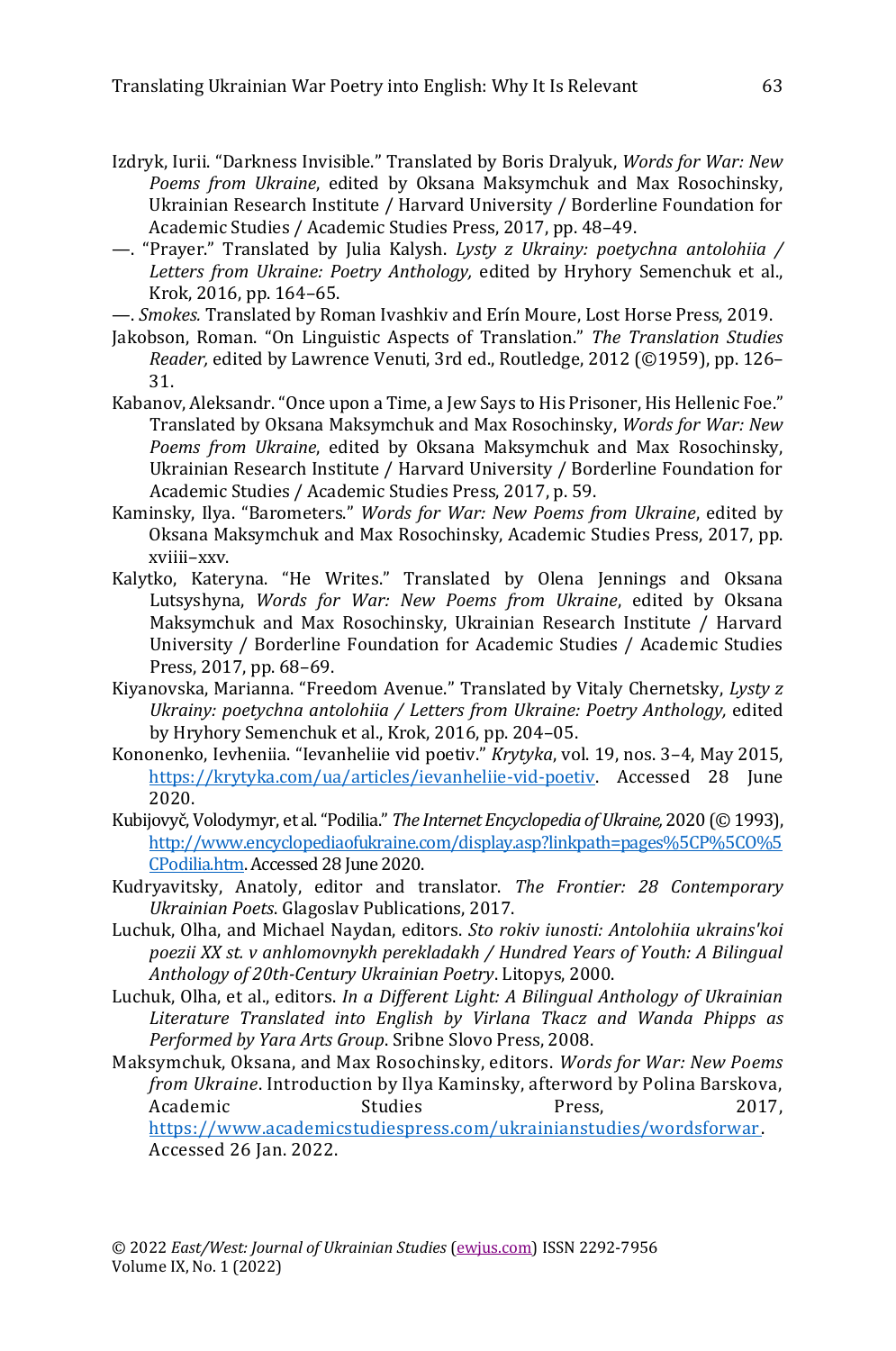- Izdryk, Iurii. "Darkness Invisible." Translated by Boris Dralyuk, *Words for War: New Poems from Ukraine*, edited by Oksana Maksymchuk and Max Rosochinsky, Ukrainian Research Institute / Harvard University / Borderline Foundation for Academic Studies / Academic Studies Press, 2017, pp. 48–49.
- —. "Prayer." Translated by Julia Kalysh. *Lysty z Ukrainy: poetychna antolohiia / Letters from Ukraine: Poetry Anthology,* edited by Hryhory Semenchuk et al., Krok, 2016, pp. 164–65.
- —. *Smokes.* Translated by Roman Ivashkiv and Erín Moure, Lost Horse Press, 2019.
- Jakobson, Roman. "On Linguistic Aspects of Translation." *The Translation Studies Reader,* edited by Lawrence Venuti, 3rd ed., Routledge, 2012 (©1959), pp. 126– 31.
- Kabanov, Aleksandr. "Once upon a Time, a Jew Says to His Prisoner, His Hellenic Foe." Translated by Oksana Maksymchuk and Max Rosochinsky, *Words for War: New Poems from Ukraine*, edited by Oksana Maksymchuk and Max Rosochinsky, Ukrainian Research Institute / Harvard University / Borderline Foundation for Academic Studies / Academic Studies Press, 2017, p. 59.
- Kaminsky, Ilya. "Barometers." *Words for War: New Poems from Ukraine*, edited by Oksana Maksymchuk and Max Rosochinsky, Academic Studies Press, 2017, pp. xviiii–xxv.
- Kalytko, Kateryna. "He Writes." Translated by Olena Jennings and Oksana Lutsyshyna, *Words for War: New Poems from Ukraine*, edited by Oksana Maksymchuk and Max Rosochinsky, Ukrainian Research Institute / Harvard University / Borderline Foundation for Academic Studies / Academic Studies Press, 2017, pp. 68–69.
- Kiyanovska, Marianna. "Freedom Avenue." Translated by Vitaly Chernetsky, *Lysty z Ukrainy: poetychna antolohiia / Letters from Ukraine: Poetry Anthology,* edited by Hryhory Semenchuk et al., Krok, 2016, pp. 204–05.
- Kononenko, Ievheniia. "Ievanheliie vid poetiv." *Krytyka*, vol. 19, nos. 3–4, May 2015, [https://krytyka.com/ua/articles/ievanheliie-vid-poetiv.](https://krytyka.com/ua/articles/ievanheliie-vid-poetiv) Accessed 28 June 2020.
- Kubijovyč, Volodymyr, et al. "Podilia." *The Internet Encyclopedia of Ukraine,* 2020 (© 1993), [http://www.encyclopediaofukraine.com/display.asp?linkpath=pages%5CP%5CO%5](http://www.encyclopediaofukraine.com/display.asp?linkpath=pages%5CP%5CO%5CPodilia.htm) [CPodilia.htm.](http://www.encyclopediaofukraine.com/display.asp?linkpath=pages%5CP%5CO%5CPodilia.htm) Accessed 28 June 2020.
- Kudryavitsky, Anatoly, editor and translator. *The Frontier: 28 Contemporary Ukrainian Poets*. Glagoslav Publications, 2017.
- Luchuk, Olha, and Michael Naydan, editors. *Sto rokiv iunosti: Antolohiia ukrains'koi poezii XX st. v anhlomovnykh perekladakh / Hundred Years of Youth: A Bilingual Anthology of 20th-Century Ukrainian Poetry*. Litopys, 2000.
- Luchuk, Olha, et al., editors. *In a Different Light: A Bilingual Anthology of Ukrainian Literature Translated into English by Virlana Tkacz and Wanda Phipps as Performed by Yara Arts Group*. Sribne Slovo Press, 2008.
- Maksymchuk, Oksana, and Max Rosochinsky, editors. *Words for War: New Poems from Ukraine*. Introduction by Ilya Kaminsky, afterword by Polina Barskova, Academic Studies Press, 2017, [https://www.academicstudiespress.com/ukrainianstudies/wordsforwar.](https://www.academicstudiespress.com/ukrainianstudies/wordsforwar)  Accessed 26 Jan. 2022.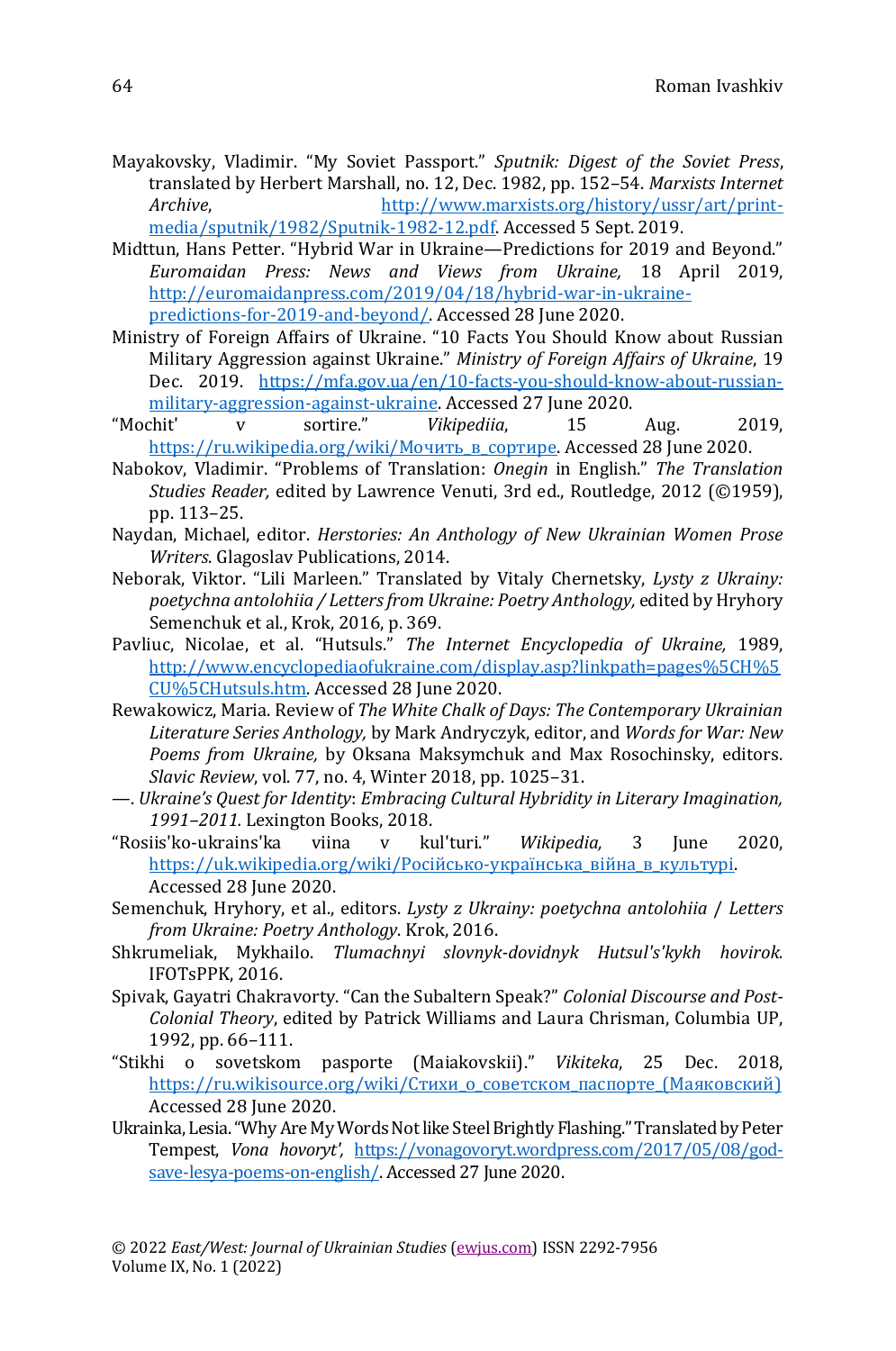- Mayakovsky, Vladimir. "My Soviet Passport." *Sputnik: Digest of the Soviet Press*, translated by Herbert Marshall, no. 12, Dec. 1982, pp. 152–54. *Marxists Internet Archive*, [http://www.marxists.org/history/ussr/art/print](http://www.marxists.org/history/ussr/art/print-media/sputnik/1982/Sputnik-1982-12.pdf)[media/sputnik/1982/Sputnik-1982-12.pdf.](http://www.marxists.org/history/ussr/art/print-media/sputnik/1982/Sputnik-1982-12.pdf) Accessed 5 Sept. 2019.
- Midttun, Hans Petter. "Hybrid War in Ukraine—Predictions for 2019 and Beyond." *Euromaidan Press: News and Views from Ukraine,* 18 April 2019, [http://euromaidanpress.com/2019/04/18/hybrid-war-in-ukraine](http://euromaidanpress.com/2019/04/18/hybrid-war-in-ukraine-predictions-for-2019-and-beyond/)[predictions-for-2019-and-beyond/.](http://euromaidanpress.com/2019/04/18/hybrid-war-in-ukraine-predictions-for-2019-and-beyond/) Accessed 28 June 2020.
- Ministry of Foreign Affairs of Ukraine. "10 Facts You Should Know about Russian Military Aggression against Ukraine." *Ministry of Foreign Affairs of Ukraine*, 19 Dec. 2019. [https://mfa.gov.ua/en/10-facts-you-should-know-about-russian](https://mfa.gov.ua/en/10-facts-you-should-know-about-russian-military-aggression-against-ukraine)[military-aggression-against-ukraine.](https://mfa.gov.ua/en/10-facts-you-should-know-about-russian-military-aggression-against-ukraine) Accessed 27 June 2020.
- "Mochit' v sortire." *Vikipediia*, 15 Aug. 2019, https://ru.wikipedia.org/wiki/Мочить в сортире. Accessed 28 June 2020.
- Nabokov, Vladimir. "Problems of Translation: *Onegin* in English." *The Translation Studies Reader,* edited by Lawrence Venuti, 3rd ed., Routledge, 2012 (©1959), pp. 113–25.
- Naydan, Michael, editor. *Herstories: An Anthology of New Ukrainian Women Prose Writers*. Glagoslav Publications, 2014.
- Neborak, Viktor. "Lili Marleen." Translated by Vitaly Chernetsky, *Lysty z Ukrainy: poetychna antolohiia / Letters from Ukraine: Poetry Anthology,* edited by Hryhory Semenchuk et al., Krok, 2016, p. 369.
- Pavliuc, Nicolae, et al. "Hutsuls." *The Internet Encyclopedia of Ukraine,* 1989, [http://www.encyclopediaofukraine.com/display.asp?linkpath=pages%5CH%5](http://www.encyclopediaofukraine.com/display.asp?linkpath=pages%5CH%5CU%5CHutsuls.htm) [CU%5CHutsuls.htm.](http://www.encyclopediaofukraine.com/display.asp?linkpath=pages%5CH%5CU%5CHutsuls.htm) Accessed 28 June 2020.
- Rewakowicz, Maria. Review of *The White Chalk of Days: The Contemporary Ukrainian Literature Series Anthology,* by Mark Andryczyk, editor, and *Words for War: New Poems from Ukraine,* by Oksana Maksymchuk and Max Rosochinsky, editors. *Slavic Review*, vol. 77, no. 4, Winter 2018, pp. 1025–31.
- —. *Ukraine's Quest for Identity*: *Embracing Cultural Hybridity in Literary Imagination, 1991–2011.* Lexington Books, 2018.
- "Rosiis'ko-ukrains'ka viina v kul'turi." *Wikipedia,* 3 June 2020, [https://uk.wikipedia.org/wiki/Російсько](https://uk.wikipedia.org/wiki/Російсько-українська_війна_в_культурі)-українська війна в культурі. Accessed 28 June 2020.
- Semenchuk, Hryhory, et al., editors. *Lysty z Ukrainy: poetychna antolohiia* / *Letters from Ukraine: Poetry Anthology*. Krok, 2016.
- Shkrumeliak, Mykhailo. *Tlumachnyi slovnyk-dovidnyk Hutsul's'kykh hovirok.*  IFOTsPPK, 2016.
- Spivak, Gayatri Chakravorty. "Can the Subaltern Speak?" *Colonial Discourse and Post-Colonial Theory*, edited by Patrick Williams and Laura Chrisman, Columbia UP, 1992, pp. 66–111.
- "Stikhi o sovetskom pasporte (Maiakovskii)." *Vikiteka*, 25 Dec. 2018, https://ru.wikisource.org/wiki/Стихи о советском паспорте (Маяковский) Accessed 28 June 2020.
- Ukrainka, Lesia. "Why Are My Words Not like Steel Brightly Flashing." Translated by Peter Tempest, *Vona hovoryt',* [https://vonagovoryt.wordpress.com/2017/05/08/god](https://vonagovoryt.wordpress.com/2017/05/08/god-save-lesya-poems-on-english/)[save-lesya-poems-on-english/.](https://vonagovoryt.wordpress.com/2017/05/08/god-save-lesya-poems-on-english/) Accessed 27 June 2020.